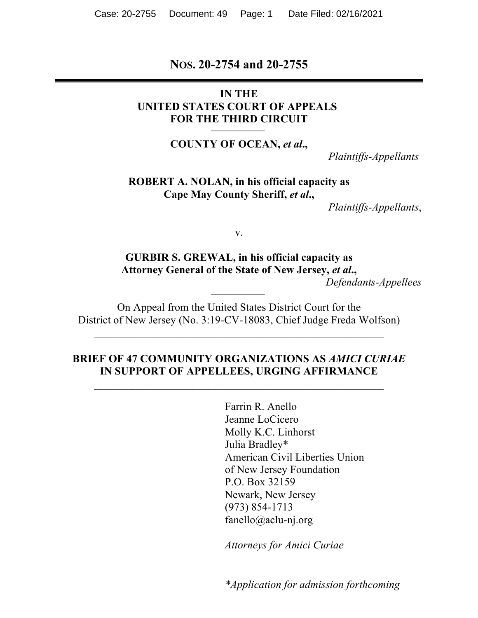#### **NOS. 20-2754 and 20-2755**

#### **IN THE UNITED STATES COURT OF APPEALS FOR THE THIRD CIRCUIT**

**COUNTY OF OCEAN,** *et al***.,**

 *Plaintiffs-Appellants*

**ROBERT A. NOLAN, in his official capacity as Cape May County Sheriff,** *et al***.,**

 *Plaintiffs-Appellants*,

v.

## **GURBIR S. GREWAL, in his official capacity as Attorney General of the State of New Jersey,** *et al***.,**

*Defendants-Appellees*

On Appeal from the United States District Court for the District of New Jersey (No. 3:19-CV-18083, Chief Judge Freda Wolfson)

 $\mathcal{L}_\text{max}$  and the contract of the contract of the contract of the contract of the contract of the contract of the contract of the contract of the contract of the contract of the contract of the contract of the contrac

#### **BRIEF OF 47 COMMUNITY ORGANIZATIONS AS** *AMICI CURIAE* **IN SUPPORT OF APPELLEES, URGING AFFIRMANCE**

 $\mathcal{L}_\text{max}$  , and the contract of the contract of the contract of the contract of the contract of the contract of the contract of the contract of the contract of the contract of the contract of the contract of the contr

Farrin R. Anello Jeanne LoCicero Molly K.C. Linhorst Julia Bradley\* American Civil Liberties Union of New Jersey Foundation P.O. Box 32159 Newark, New Jersey (973) 854-1713 fanello@aclu-nj.org

*Attorneys for Amici Curiae*

*\*Application for admission forthcoming*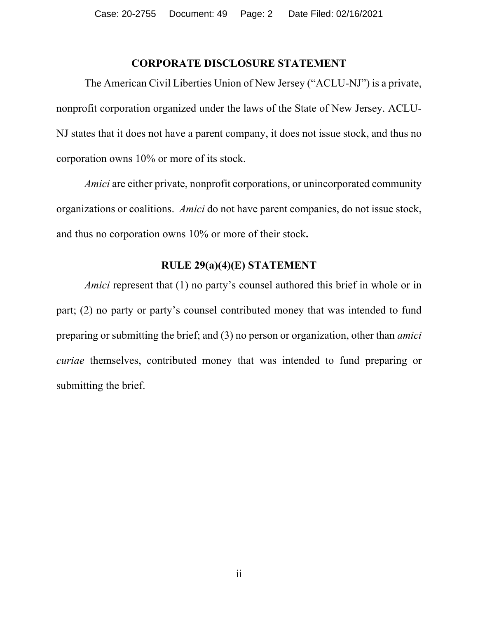### **CORPORATE DISCLOSURE STATEMENT**

The American Civil Liberties Union of New Jersey ("ACLU-NJ") is a private, nonprofit corporation organized under the laws of the State of New Jersey. ACLU-NJ states that it does not have a parent company, it does not issue stock, and thus no corporation owns 10% or more of its stock.

*Amici* are either private, nonprofit corporations, or unincorporated community organizations or coalitions. *Amici* do not have parent companies, do not issue stock, and thus no corporation owns 10% or more of their stock**.**

#### **RULE 29(a)(4)(E) STATEMENT**

*Amici* represent that (1) no party's counsel authored this brief in whole or in part; (2) no party or party's counsel contributed money that was intended to fund preparing or submitting the brief; and (3) no person or organization, other than *amici curiae* themselves, contributed money that was intended to fund preparing or submitting the brief.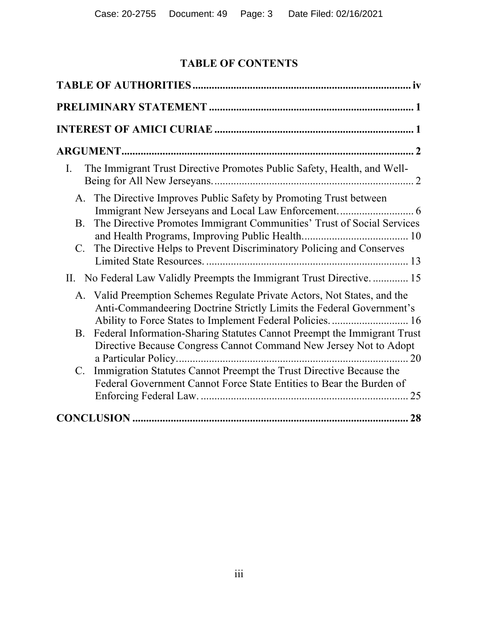# **TABLE OF CONTENTS**

| The Immigrant Trust Directive Promotes Public Safety, Health, and Well-<br>Ι.                                                                                                                                                                    |
|--------------------------------------------------------------------------------------------------------------------------------------------------------------------------------------------------------------------------------------------------|
| A. The Directive Improves Public Safety by Promoting Trust between<br>The Directive Promotes Immigrant Communities' Trust of Social Services<br><b>B.</b><br>The Directive Helps to Prevent Discriminatory Policing and Conserves<br>$C_{\cdot}$ |
| II. No Federal Law Validly Preempts the Immigrant Trust Directive 15                                                                                                                                                                             |
| A. Valid Preemption Schemes Regulate Private Actors, Not States, and the<br>Anti-Commandeering Doctrine Strictly Limits the Federal Government's<br>Ability to Force States to Implement Federal Policies 16                                     |
| Federal Information-Sharing Statutes Cannot Preempt the Immigrant Trust<br><b>B.</b><br>Directive Because Congress Cannot Command New Jersey Not to Adopt                                                                                        |
| Immigration Statutes Cannot Preempt the Trust Directive Because the<br>$\mathbf{C}$ .<br>Federal Government Cannot Force State Entities to Bear the Burden of                                                                                    |
|                                                                                                                                                                                                                                                  |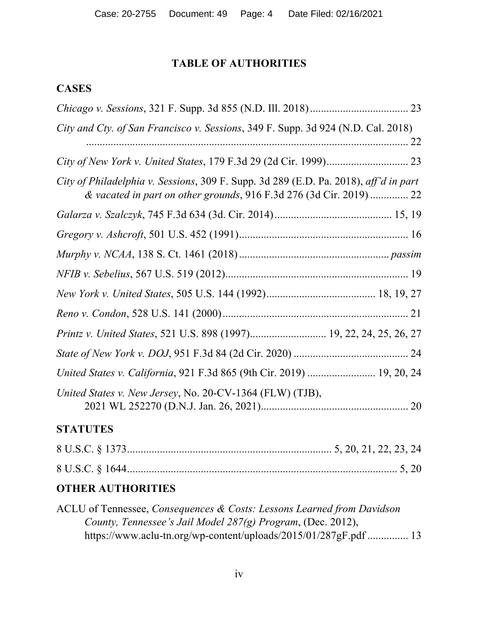# **TABLE OF AUTHORITIES**

## **CASES**

| City and Cty. of San Francisco v. Sessions, 349 F. Supp. 3d 924 (N.D. Cal. 2018)                                                                            |
|-------------------------------------------------------------------------------------------------------------------------------------------------------------|
|                                                                                                                                                             |
|                                                                                                                                                             |
| City of Philadelphia v. Sessions, 309 F. Supp. 3d 289 (E.D. Pa. 2018), aff'd in part<br>& vacated in part on other grounds, 916 F.3d 276 (3d Cir. 2019)  22 |
|                                                                                                                                                             |
|                                                                                                                                                             |
|                                                                                                                                                             |
|                                                                                                                                                             |
|                                                                                                                                                             |
|                                                                                                                                                             |
| Printz v. United States, 521 U.S. 898 (1997) 19, 22, 24, 25, 26, 27                                                                                         |
|                                                                                                                                                             |
| United States v. California, 921 F.3d 865 (9th Cir. 2019)  19, 20, 24                                                                                       |
| United States v. New Jersey, No. 20-CV-1364 (FLW) (TJB),                                                                                                    |
| <b>STATUTES</b>                                                                                                                                             |

# **OTHER AUTHORITIES**

| ACLU of Tennessee, Consequences & Costs: Lessons Learned from Davidson |  |
|------------------------------------------------------------------------|--|
| County, Tennessee's Jail Model 287(g) Program, (Dec. 2012),            |  |
| https://www.aclu-tn.org/wp-content/uploads/2015/01/287gF.pdf  13       |  |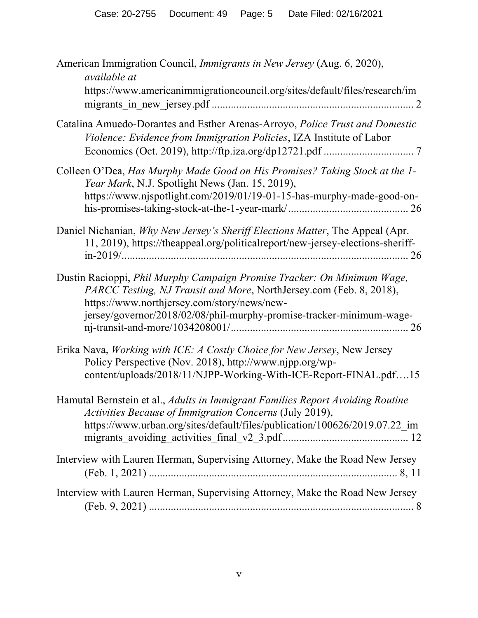| American Immigration Council, <i>Immigrants in New Jersey</i> (Aug. 6, 2020),<br><i>available at</i>                                                                                                                                                                  |
|-----------------------------------------------------------------------------------------------------------------------------------------------------------------------------------------------------------------------------------------------------------------------|
| https://www.americanimmigrationcouncil.org/sites/default/files/research/im                                                                                                                                                                                            |
| Catalina Amuedo-Dorantes and Esther Arenas-Arroyo, Police Trust and Domestic<br>Violence: Evidence from Immigration Policies, IZA Institute of Labor                                                                                                                  |
| Colleen O'Dea, Has Murphy Made Good on His Promises? Taking Stock at the 1-<br>Year Mark, N.J. Spotlight News (Jan. 15, 2019),<br>https://www.njspotlight.com/2019/01/19-01-15-has-murphy-made-good-on-                                                               |
| Daniel Nichanian, Why New Jersey's Sheriff Elections Matter, The Appeal (Apr.<br>11, 2019), https://theappeal.org/politicalreport/new-jersey-elections-sheriff-                                                                                                       |
| Dustin Racioppi, Phil Murphy Campaign Promise Tracker: On Minimum Wage,<br>PARCC Testing, NJ Transit and More, NorthJersey.com (Feb. 8, 2018),<br>https://www.northjersey.com/story/news/new-<br>jersey/governor/2018/02/08/phil-murphy-promise-tracker-minimum-wage- |
| Erika Nava, Working with ICE: A Costly Choice for New Jersey, New Jersey<br>Policy Perspective (Nov. 2018), http://www.njpp.org/wp-<br>content/uploads/2018/11/NJPP-Working-With-ICE-Report-FINAL.pdf15                                                               |
| Hamutal Bernstein et al., Adults in Immigrant Families Report Avoiding Routine<br>Activities Because of Immigration Concerns (July 2019),<br>https://www.urban.org/sites/default/files/publication/100626/2019.07.22_im                                               |
| Interview with Lauren Herman, Supervising Attorney, Make the Road New Jersey                                                                                                                                                                                          |
| Interview with Lauren Herman, Supervising Attorney, Make the Road New Jersey                                                                                                                                                                                          |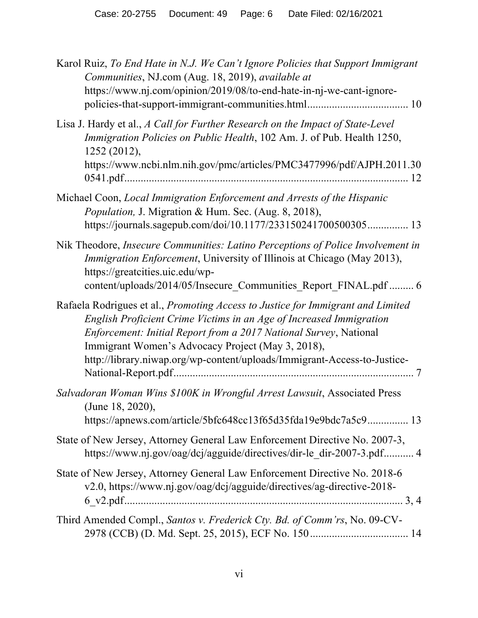| Karol Ruiz, To End Hate in N.J. We Can't Ignore Policies that Support Immigrant<br>Communities, NJ.com (Aug. 18, 2019), available at<br>https://www.nj.com/opinion/2019/08/to-end-hate-in-nj-we-cant-ignore-                                                                                                                                                 |
|--------------------------------------------------------------------------------------------------------------------------------------------------------------------------------------------------------------------------------------------------------------------------------------------------------------------------------------------------------------|
| Lisa J. Hardy et al., A Call for Further Research on the Impact of State-Level<br>Immigration Policies on Public Health, 102 Am. J. of Pub. Health 1250,<br>1252 (2012),<br>https://www.ncbi.nlm.nih.gov/pmc/articles/PMC3477996/pdf/AJPH.2011.30                                                                                                            |
| Michael Coon, Local Immigration Enforcement and Arrests of the Hispanic<br>Population, J. Migration & Hum. Sec. (Aug. 8, 2018),<br>https://journals.sagepub.com/doi/10.1177/233150241700500305 13                                                                                                                                                            |
| Nik Theodore, Insecure Communities: Latino Perceptions of Police Involvement in<br><i>Immigration Enforcement</i> , University of Illinois at Chicago (May 2013),<br>https://greatcities.uic.edu/wp-<br>content/uploads/2014/05/Insecure_Communities_Report_FINAL.pdf  6                                                                                     |
| Rafaela Rodrigues et al., Promoting Access to Justice for Immigrant and Limited<br>English Proficient Crime Victims in an Age of Increased Immigration<br>Enforcement: Initial Report from a 2017 National Survey, National<br>Immigrant Women's Advocacy Project (May 3, 2018),<br>http://library.niwap.org/wp-content/uploads/Immigrant-Access-to-Justice- |
| Salvadoran Woman Wins \$100K in Wrongful Arrest Lawsuit, Associated Press<br>(June 18, 2020),<br>https://apnews.com/article/5bfc648cc13f65d35fda19e9bdc7a5c9 13                                                                                                                                                                                              |
| State of New Jersey, Attorney General Law Enforcement Directive No. 2007-3,<br>https://www.nj.gov/oag/dcj/agguide/directives/dir-le dir-2007-3.pdf 4                                                                                                                                                                                                         |
| State of New Jersey, Attorney General Law Enforcement Directive No. 2018-6<br>v2.0, https://www.nj.gov/oag/dcj/agguide/directives/ag-directive-2018-                                                                                                                                                                                                         |
| Third Amended Compl., Santos v. Frederick Cty. Bd. of Comm'rs, No. 09-CV-                                                                                                                                                                                                                                                                                    |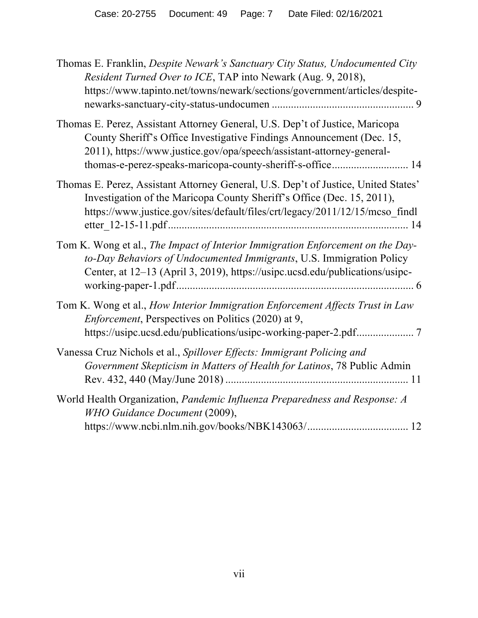| Thomas E. Franklin, Despite Newark's Sanctuary City Status, Undocumented City<br>Resident Turned Over to ICE, TAP into Newark (Aug. 9, 2018),<br>https://www.tapinto.net/towns/newark/sections/government/articles/despite-                                                                 |
|---------------------------------------------------------------------------------------------------------------------------------------------------------------------------------------------------------------------------------------------------------------------------------------------|
| Thomas E. Perez, Assistant Attorney General, U.S. Dep't of Justice, Maricopa<br>County Sheriff's Office Investigative Findings Announcement (Dec. 15,<br>2011), https://www.justice.gov/opa/speech/assistant-attorney-general-<br>thomas-e-perez-speaks-maricopa-county-sheriff-s-office 14 |
| Thomas E. Perez, Assistant Attorney General, U.S. Dep't of Justice, United States'<br>Investigation of the Maricopa County Sheriff's Office (Dec. 15, 2011),<br>https://www.justice.gov/sites/default/files/crt/legacy/2011/12/15/mcso findl                                                |
| Tom K. Wong et al., The Impact of Interior Immigration Enforcement on the Day-<br>to-Day Behaviors of Undocumented Immigrants, U.S. Immigration Policy<br>Center, at 12–13 (April 3, 2019), https://usipc.ucsd.edu/publications/usipc-                                                      |
| Tom K. Wong et al., How Interior Immigration Enforcement Affects Trust in Law<br><i>Enforcement</i> , Perspectives on Politics (2020) at 9,                                                                                                                                                 |
| Vanessa Cruz Nichols et al., Spillover Effects: Immigrant Policing and<br>Government Skepticism in Matters of Health for Latinos, 78 Public Admin                                                                                                                                           |
| World Health Organization, Pandemic Influenza Preparedness and Response: A<br>WHO Guidance Document (2009),                                                                                                                                                                                 |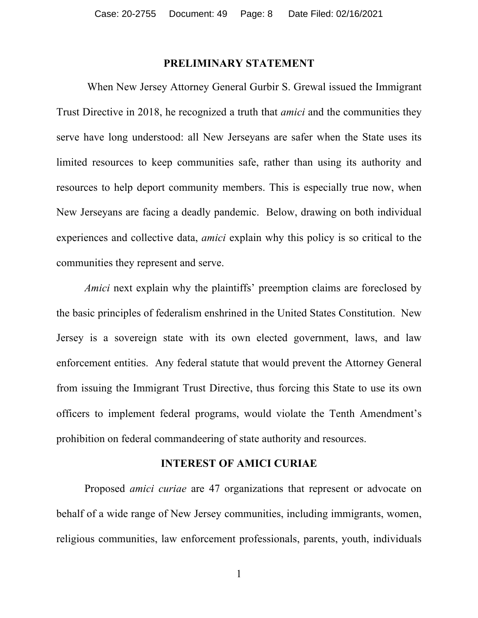#### **PRELIMINARY STATEMENT**

When New Jersey Attorney General Gurbir S. Grewal issued the Immigrant Trust Directive in 2018, he recognized a truth that *amici* and the communities they serve have long understood: all New Jerseyans are safer when the State uses its limited resources to keep communities safe, rather than using its authority and resources to help deport community members. This is especially true now, when New Jerseyans are facing a deadly pandemic. Below, drawing on both individual experiences and collective data, *amici* explain why this policy is so critical to the communities they represent and serve.

*Amici* next explain why the plaintiffs' preemption claims are foreclosed by the basic principles of federalism enshrined in the United States Constitution. New Jersey is a sovereign state with its own elected government, laws, and law enforcement entities. Any federal statute that would prevent the Attorney General from issuing the Immigrant Trust Directive, thus forcing this State to use its own officers to implement federal programs, would violate the Tenth Amendment's prohibition on federal commandeering of state authority and resources.

#### **INTEREST OF AMICI CURIAE**

Proposed *amici curiae* are 47 organizations that represent or advocate on behalf of a wide range of New Jersey communities, including immigrants, women, religious communities, law enforcement professionals, parents, youth, individuals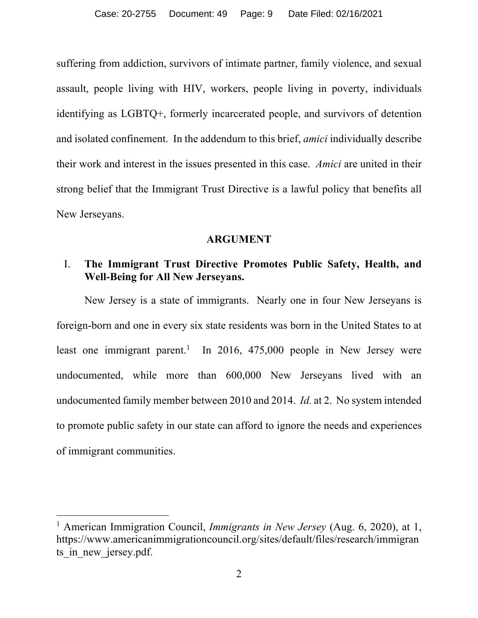suffering from addiction, survivors of intimate partner, family violence, and sexual assault, people living with HIV, workers, people living in poverty, individuals identifying as LGBTQ+, formerly incarcerated people, and survivors of detention and isolated confinement. In the addendum to this brief, *amici* individually describe their work and interest in the issues presented in this case. *Amici* are united in their strong belief that the Immigrant Trust Directive is a lawful policy that benefits all New Jerseyans.

#### **ARGUMENT**

#### I. **The Immigrant Trust Directive Promotes Public Safety, Health, and Well-Being for All New Jerseyans.**

New Jersey is a state of immigrants. Nearly one in four New Jerseyans is foreign-born and one in every six state residents was born in the United States to at least one immigrant parent.<sup>1</sup> In 2016, 475,000 people in New Jersey were undocumented, while more than 600,000 New Jerseyans lived with an undocumented family member between 2010 and 2014. *Id.* at 2. No system intended to promote public safety in our state can afford to ignore the needs and experiences of immigrant communities.

<sup>&</sup>lt;sup>1</sup> American Immigration Council, *Immigrants in New Jersey* (Aug. 6, 2020), at 1, https://www.americanimmigrationcouncil.org/sites/default/files/research/immigran ts in new jersey.pdf.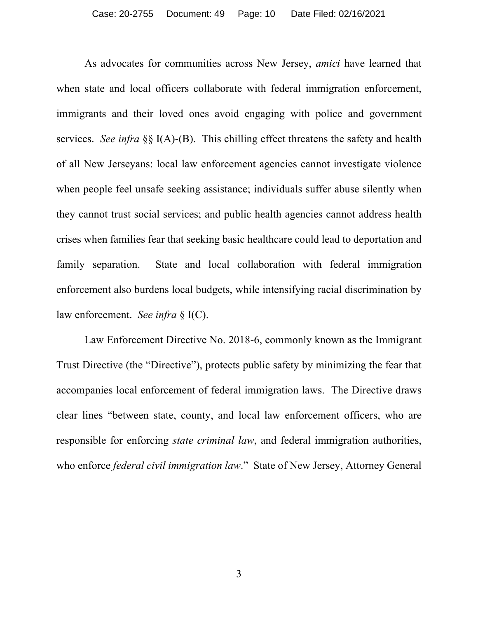As advocates for communities across New Jersey, *amici* have learned that when state and local officers collaborate with federal immigration enforcement, immigrants and their loved ones avoid engaging with police and government services. *See infra* §§ I(A)-(B). This chilling effect threatens the safety and health of all New Jerseyans: local law enforcement agencies cannot investigate violence when people feel unsafe seeking assistance; individuals suffer abuse silently when they cannot trust social services; and public health agencies cannot address health crises when families fear that seeking basic healthcare could lead to deportation and family separation. State and local collaboration with federal immigration enforcement also burdens local budgets, while intensifying racial discrimination by law enforcement. *See infra* § I(C).

Law Enforcement Directive No. 2018-6, commonly known as the Immigrant Trust Directive (the "Directive"), protects public safety by minimizing the fear that accompanies local enforcement of federal immigration laws. The Directive draws clear lines "between state, county, and local law enforcement officers, who are responsible for enforcing *state criminal law*, and federal immigration authorities, who enforce *federal civil immigration law*." State of New Jersey, Attorney General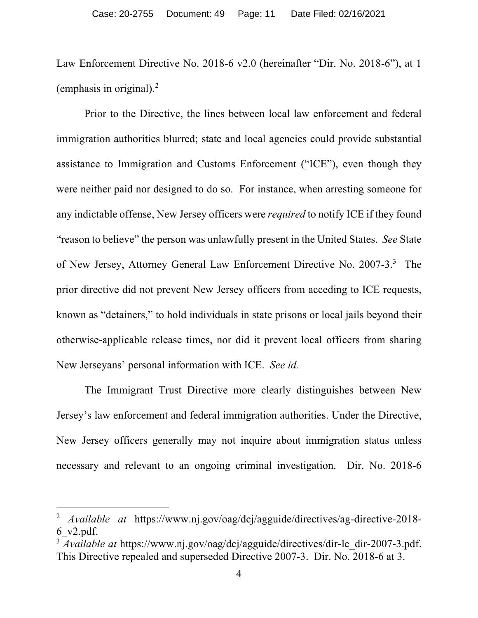Law Enforcement Directive No. 2018-6 v2.0 (hereinafter "Dir. No. 2018-6"), at 1 (emphasis in original). $<sup>2</sup>$ </sup>

Prior to the Directive, the lines between local law enforcement and federal immigration authorities blurred; state and local agencies could provide substantial assistance to Immigration and Customs Enforcement ("ICE"), even though they were neither paid nor designed to do so. For instance, when arresting someone for any indictable offense, New Jersey officers were *required* to notify ICE if they found "reason to believe" the person was unlawfully present in the United States. *See* State of New Jersey, Attorney General Law Enforcement Directive No. 2007-3.<sup>3</sup> The prior directive did not prevent New Jersey officers from acceding to ICE requests, known as "detainers," to hold individuals in state prisons or local jails beyond their otherwise-applicable release times, nor did it prevent local officers from sharing New Jerseyans' personal information with ICE. *See id.*

The Immigrant Trust Directive more clearly distinguishes between New Jersey's law enforcement and federal immigration authorities. Under the Directive, New Jersey officers generally may not inquire about immigration status unless necessary and relevant to an ongoing criminal investigation. Dir. No. 2018-6

<sup>2</sup> *Available at* https://www.nj.gov/oag/dcj/agguide/directives/ag-directive-2018- 6\_v2.pdf.

<sup>&</sup>lt;sup>3</sup> *Available at* https://www.nj.gov/oag/dcj/agguide/directives/dir-le\_dir-2007-3.pdf. This Directive repealed and superseded Directive 2007-3. Dir. No. 2018-6 at 3.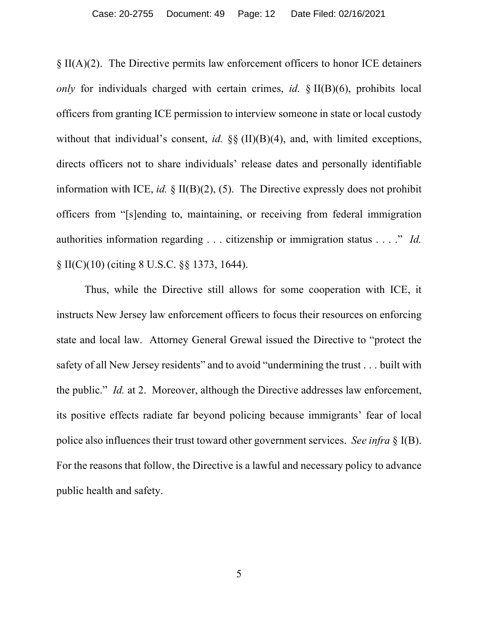§ II(A)(2). The Directive permits law enforcement officers to honor ICE detainers *only* for individuals charged with certain crimes, *id.* § II(B)(6), prohibits local officers from granting ICE permission to interview someone in state or local custody without that individual's consent, *id.*  $\S\S$  (II)(B)(4), and, with limited exceptions, directs officers not to share individuals' release dates and personally identifiable information with ICE, *id.* § II(B)(2), (5). The Directive expressly does not prohibit officers from "[s]ending to, maintaining, or receiving from federal immigration authorities information regarding . . . citizenship or immigration status . . . ." *Id.* § II(C)(10) (citing 8 U.S.C. §§ 1373, 1644).

Thus, while the Directive still allows for some cooperation with ICE, it instructs New Jersey law enforcement officers to focus their resources on enforcing state and local law. Attorney General Grewal issued the Directive to "protect the safety of all New Jersey residents" and to avoid "undermining the trust . . . built with the public." *Id.* at 2. Moreover, although the Directive addresses law enforcement, its positive effects radiate far beyond policing because immigrants' fear of local police also influences their trust toward other government services. *See infra* § I(B). For the reasons that follow, the Directive is a lawful and necessary policy to advance public health and safety.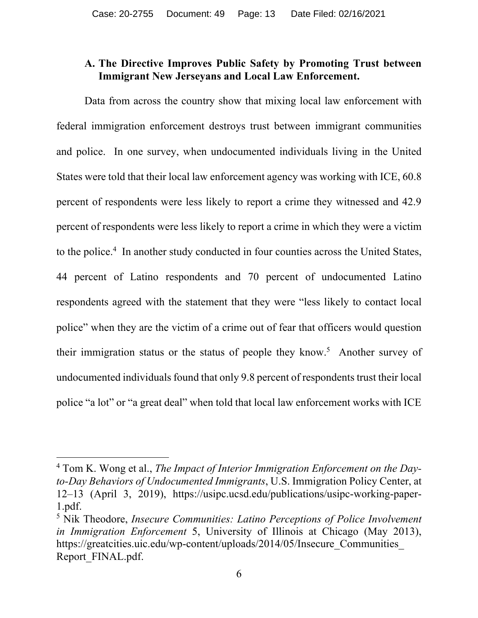#### **A. The Directive Improves Public Safety by Promoting Trust between Immigrant New Jerseyans and Local Law Enforcement.**

Data from across the country show that mixing local law enforcement with federal immigration enforcement destroys trust between immigrant communities and police. In one survey, when undocumented individuals living in the United States were told that their local law enforcement agency was working with ICE, 60.8 percent of respondents were less likely to report a crime they witnessed and 42.9 percent of respondents were less likely to report a crime in which they were a victim to the police.<sup>4</sup> In another study conducted in four counties across the United States, 44 percent of Latino respondents and 70 percent of undocumented Latino respondents agreed with the statement that they were "less likely to contact local police" when they are the victim of a crime out of fear that officers would question their immigration status or the status of people they know.<sup>5</sup> Another survey of undocumented individuals found that only 9.8 percent of respondents trust their local police "a lot" or "a great deal" when told that local law enforcement works with ICE

<sup>4</sup> Tom K. Wong et al., *The Impact of Interior Immigration Enforcement on the Dayto-Day Behaviors of Undocumented Immigrants*, U.S. Immigration Policy Center, at 12–13 (April 3, 2019), https://usipc.ucsd.edu/publications/usipc-working-paper-1.pdf.

<sup>5</sup> Nik Theodore, *Insecure Communities: Latino Perceptions of Police Involvement in Immigration Enforcement* 5, University of Illinois at Chicago (May 2013), https://greatcities.uic.edu/wp-content/uploads/2014/05/Insecure\_Communities\_ Report\_FINAL.pdf.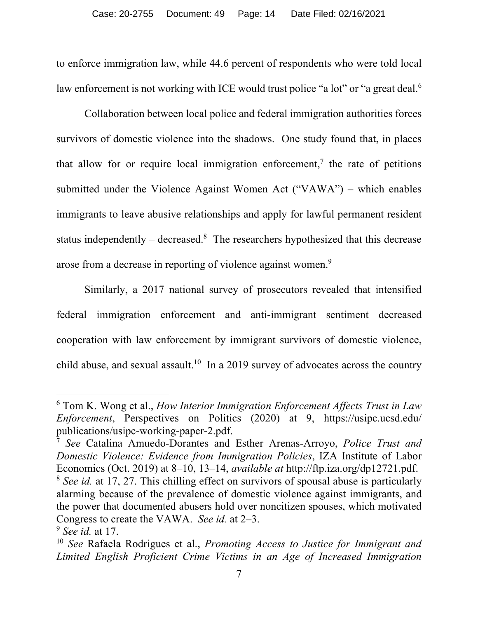to enforce immigration law, while 44.6 percent of respondents who were told local law enforcement is not working with ICE would trust police "a lot" or "a great deal.<sup>6</sup>

Collaboration between local police and federal immigration authorities forces survivors of domestic violence into the shadows. One study found that, in places that allow for or require local immigration enforcement,<sup>7</sup> the rate of petitions submitted under the Violence Against Women Act ("VAWA") – which enables immigrants to leave abusive relationships and apply for lawful permanent resident status independently – decreased.<sup>8</sup> The researchers hypothesized that this decrease arose from a decrease in reporting of violence against women.<sup>9</sup>

Similarly, a 2017 national survey of prosecutors revealed that intensified federal immigration enforcement and anti-immigrant sentiment decreased cooperation with law enforcement by immigrant survivors of domestic violence, child abuse, and sexual assault.<sup>10</sup> In a 2019 survey of advocates across the country

<sup>6</sup> Tom K. Wong et al., *How Interior Immigration Enforcement Affects Trust in Law Enforcement*, Perspectives on Politics (2020) at 9, https://usipc.ucsd.edu/ publications/usipc-working-paper-2.pdf.

<sup>7</sup> *See* Catalina Amuedo-Dorantes and Esther Arenas-Arroyo, *Police Trust and Domestic Violence: Evidence from Immigration Policies*, IZA Institute of Labor Economics (Oct. 2019) at 8–10, 13–14, *available at* http://ftp.iza.org/dp12721.pdf.

<sup>8</sup> *See id.* at 17, 27. This chilling effect on survivors of spousal abuse is particularly alarming because of the prevalence of domestic violence against immigrants, and the power that documented abusers hold over noncitizen spouses, which motivated Congress to create the VAWA. *See id.* at 2–3.

<sup>9</sup> *See id.* at 17.

<sup>10</sup> *See* Rafaela Rodrigues et al., *Promoting Access to Justice for Immigrant and Limited English Proficient Crime Victims in an Age of Increased Immigration*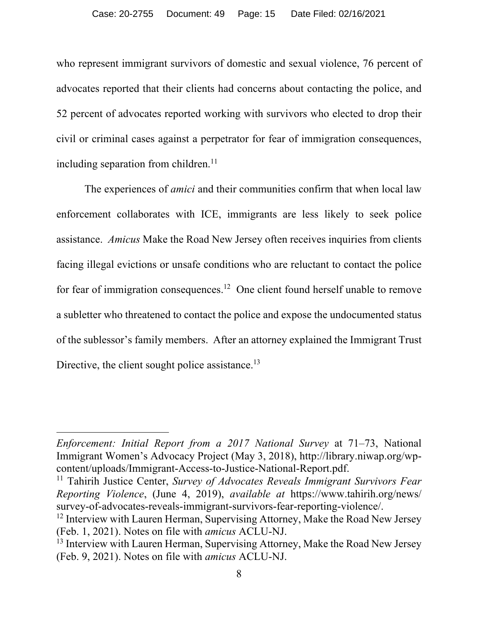who represent immigrant survivors of domestic and sexual violence, 76 percent of advocates reported that their clients had concerns about contacting the police, and 52 percent of advocates reported working with survivors who elected to drop their civil or criminal cases against a perpetrator for fear of immigration consequences, including separation from children.<sup>11</sup>

The experiences of *amici* and their communities confirm that when local law enforcement collaborates with ICE, immigrants are less likely to seek police assistance. *Amicus* Make the Road New Jersey often receives inquiries from clients facing illegal evictions or unsafe conditions who are reluctant to contact the police for fear of immigration consequences.<sup>12</sup> One client found herself unable to remove a subletter who threatened to contact the police and expose the undocumented status of the sublessor's family members. After an attorney explained the Immigrant Trust Directive, the client sought police assistance.<sup>13</sup>

*Enforcement: Initial Report from a 2017 National Survey* at 71–73, National Immigrant Women's Advocacy Project (May 3, 2018), http://library.niwap.org/wpcontent/uploads/Immigrant-Access-to-Justice-National-Report.pdf.

<sup>&</sup>lt;sup>11</sup> Tahirih Justice Center, *Survey of Advocates Reveals Immigrant Survivors Fear Reporting Violence*, (June 4, 2019), *available at* https://www.tahirih.org/news/ survey-of-advocates-reveals-immigrant-survivors-fear-reporting-violence/.

 $12$  Interview with Lauren Herman, Supervising Attorney, Make the Road New Jersey (Feb. 1, 2021). Notes on file with *amicus* ACLU-NJ.

<sup>&</sup>lt;sup>13</sup> Interview with Lauren Herman, Supervising Attorney, Make the Road New Jersey (Feb. 9, 2021). Notes on file with *amicus* ACLU-NJ.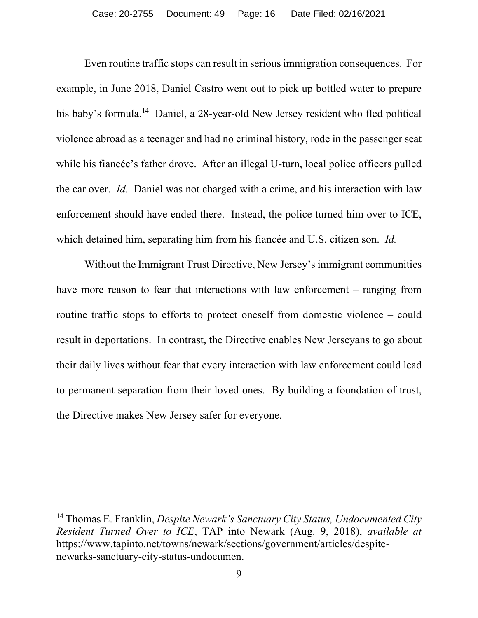Even routine traffic stops can result in serious immigration consequences. For example, in June 2018, Daniel Castro went out to pick up bottled water to prepare his baby's formula.<sup>14</sup> Daniel, a 28-year-old New Jersey resident who fled political violence abroad as a teenager and had no criminal history, rode in the passenger seat while his fiancée's father drove. After an illegal U-turn, local police officers pulled the car over. *Id.* Daniel was not charged with a crime, and his interaction with law enforcement should have ended there. Instead, the police turned him over to ICE, which detained him, separating him from his fiancée and U.S. citizen son. *Id.*

Without the Immigrant Trust Directive, New Jersey's immigrant communities have more reason to fear that interactions with law enforcement – ranging from routine traffic stops to efforts to protect oneself from domestic violence – could result in deportations. In contrast, the Directive enables New Jerseyans to go about their daily lives without fear that every interaction with law enforcement could lead to permanent separation from their loved ones. By building a foundation of trust, the Directive makes New Jersey safer for everyone.

<sup>14</sup> Thomas E. Franklin, *Despite Newark's Sanctuary City Status, Undocumented City Resident Turned Over to ICE*, TAP into Newark (Aug. 9, 2018), *available at* https://www.tapinto.net/towns/newark/sections/government/articles/despitenewarks-sanctuary-city-status-undocumen.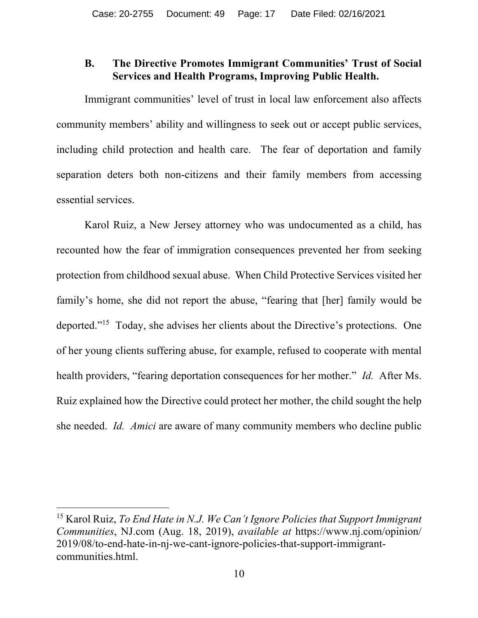#### **B. The Directive Promotes Immigrant Communities' Trust of Social Services and Health Programs, Improving Public Health.**

Immigrant communities' level of trust in local law enforcement also affects community members' ability and willingness to seek out or accept public services, including child protection and health care. The fear of deportation and family separation deters both non-citizens and their family members from accessing essential services.

Karol Ruiz, a New Jersey attorney who was undocumented as a child, has recounted how the fear of immigration consequences prevented her from seeking protection from childhood sexual abuse. When Child Protective Services visited her family's home, she did not report the abuse, "fearing that [her] family would be deported."15 Today, she advises her clients about the Directive's protections. One of her young clients suffering abuse, for example, refused to cooperate with mental health providers, "fearing deportation consequences for her mother." *Id.* After Ms. Ruiz explained how the Directive could protect her mother, the child sought the help she needed. *Id. Amici* are aware of many community members who decline public

<sup>15</sup> Karol Ruiz, *To End Hate in N.J. We Can't Ignore Policies that Support Immigrant Communities*, NJ.com (Aug. 18, 2019), *available at* https://www.nj.com/opinion/ 2019/08/to-end-hate-in-nj-we-cant-ignore-policies-that-support-immigrantcommunities.html.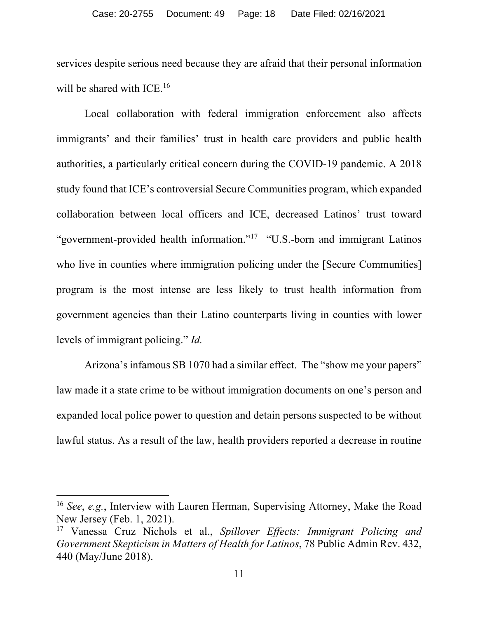services despite serious need because they are afraid that their personal information will be shared with ICE.<sup>16</sup>

Local collaboration with federal immigration enforcement also affects immigrants' and their families' trust in health care providers and public health authorities, a particularly critical concern during the COVID-19 pandemic. A 2018 study found that ICE's controversial Secure Communities program, which expanded collaboration between local officers and ICE, decreased Latinos' trust toward "government-provided health information."<sup>17</sup> "U.S.-born and immigrant Latinos who live in counties where immigration policing under the [Secure Communities] program is the most intense are less likely to trust health information from government agencies than their Latino counterparts living in counties with lower levels of immigrant policing." *Id.*

Arizona's infamous SB 1070 had a similar effect. The "show me your papers" law made it a state crime to be without immigration documents on one's person and expanded local police power to question and detain persons suspected to be without lawful status. As a result of the law, health providers reported a decrease in routine

<sup>16</sup> *See*, *e.g.*, Interview with Lauren Herman, Supervising Attorney, Make the Road New Jersey (Feb. 1, 2021).

<sup>17</sup> Vanessa Cruz Nichols et al., *Spillover Effects: Immigrant Policing and Government Skepticism in Matters of Health for Latinos*, 78 Public Admin Rev. 432, 440 (May/June 2018).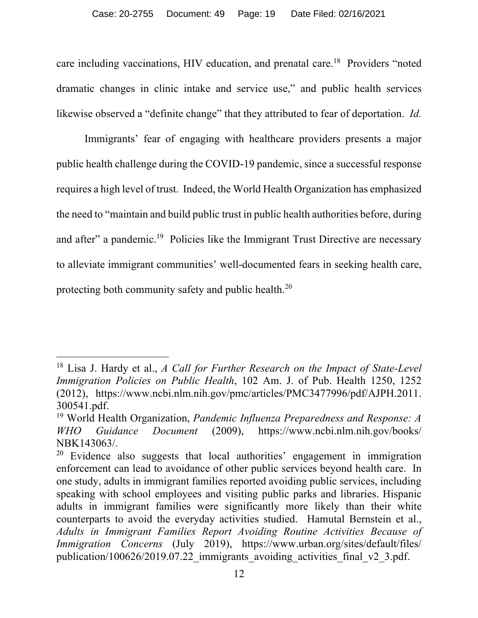care including vaccinations, HIV education, and prenatal care.<sup>18</sup> Providers "noted dramatic changes in clinic intake and service use," and public health services likewise observed a "definite change" that they attributed to fear of deportation. *Id.*

Immigrants' fear of engaging with healthcare providers presents a major public health challenge during the COVID-19 pandemic, since a successful response requires a high level of trust. Indeed, the World Health Organization has emphasized the need to "maintain and build public trust in public health authorities before, during and after" a pandemic.<sup>19</sup> Policies like the Immigrant Trust Directive are necessary to alleviate immigrant communities' well-documented fears in seeking health care, protecting both community safety and public health.20

<sup>18</sup> Lisa J. Hardy et al., *A Call for Further Research on the Impact of State-Level Immigration Policies on Public Health*, 102 Am. J. of Pub. Health 1250, 1252 (2012), https://www.ncbi.nlm.nih.gov/pmc/articles/PMC3477996/pdf/AJPH.2011. 300541.pdf.

<sup>19</sup> World Health Organization, *Pandemic Influenza Preparedness and Response: A WHO Guidance Document* (2009), https://www.ncbi.nlm.nih.gov/books/ NBK143063/.

<sup>&</sup>lt;sup>20</sup> Evidence also suggests that local authorities' engagement in immigration enforcement can lead to avoidance of other public services beyond health care. In one study, adults in immigrant families reported avoiding public services, including speaking with school employees and visiting public parks and libraries. Hispanic adults in immigrant families were significantly more likely than their white counterparts to avoid the everyday activities studied. Hamutal Bernstein et al., *Adults in Immigrant Families Report Avoiding Routine Activities Because of Immigration Concerns* (July 2019), https://www.urban.org/sites/default/files/ publication/100626/2019.07.22 immigrants avoiding activities final v2 3.pdf.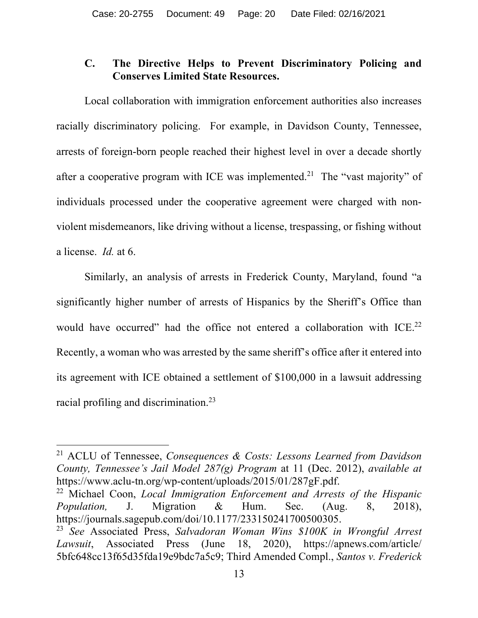### **C. The Directive Helps to Prevent Discriminatory Policing and Conserves Limited State Resources.**

Local collaboration with immigration enforcement authorities also increases racially discriminatory policing. For example, in Davidson County, Tennessee, arrests of foreign-born people reached their highest level in over a decade shortly after a cooperative program with ICE was implemented.<sup>21</sup> The "vast majority" of individuals processed under the cooperative agreement were charged with nonviolent misdemeanors, like driving without a license, trespassing, or fishing without a license. *Id.* at 6.

Similarly, an analysis of arrests in Frederick County, Maryland, found "a significantly higher number of arrests of Hispanics by the Sheriff's Office than would have occurred" had the office not entered a collaboration with ICE.<sup>22</sup> Recently, a woman who was arrested by the same sheriff's office after it entered into its agreement with ICE obtained a settlement of \$100,000 in a lawsuit addressing racial profiling and discrimination.23

<sup>21</sup> ACLU of Tennessee, *Consequences & Costs: Lessons Learned from Davidson County, Tennessee's Jail Model 287(g) Program* at 11 (Dec. 2012), *available at* https://www.aclu-tn.org/wp-content/uploads/2015/01/287gF.pdf.

<sup>22</sup> Michael Coon, *Local Immigration Enforcement and Arrests of the Hispanic Population,* J. Migration & Hum. Sec. (Aug. 8, 2018), https://journals.sagepub.com/doi/10.1177/233150241700500305.

<sup>23</sup> *See* Associated Press, *Salvadoran Woman Wins \$100K in Wrongful Arrest Lawsuit*, Associated Press (June 18, 2020), https://apnews.com/article/ 5bfc648cc13f65d35fda19e9bdc7a5c9; Third Amended Compl., *Santos v. Frederick*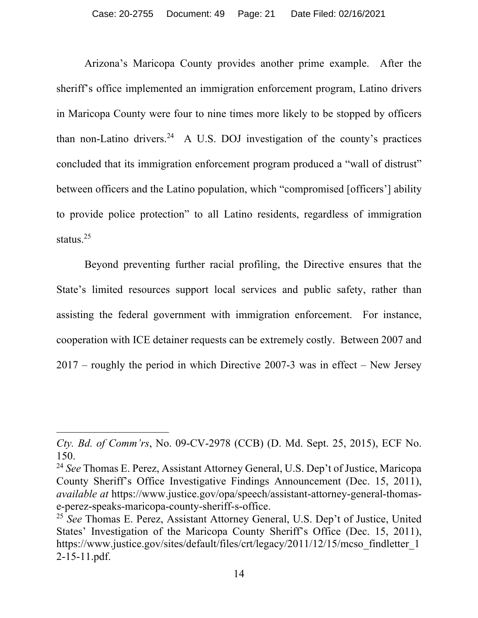Arizona's Maricopa County provides another prime example. After the sheriff's office implemented an immigration enforcement program, Latino drivers in Maricopa County were four to nine times more likely to be stopped by officers than non-Latino drivers.<sup>24</sup> A U.S. DOJ investigation of the county's practices concluded that its immigration enforcement program produced a "wall of distrust" between officers and the Latino population, which "compromised [officers'] ability to provide police protection" to all Latino residents, regardless of immigration status.<sup>25</sup>

Beyond preventing further racial profiling, the Directive ensures that the State's limited resources support local services and public safety, rather than assisting the federal government with immigration enforcement. For instance, cooperation with ICE detainer requests can be extremely costly. Between 2007 and 2017 – roughly the period in which Directive 2007-3 was in effect – New Jersey

*Cty. Bd. of Comm'rs*, No. 09-CV-2978 (CCB) (D. Md. Sept. 25, 2015), ECF No. 150.

<sup>24</sup> *See* Thomas E. Perez, Assistant Attorney General, U.S. Dep't of Justice, Maricopa County Sheriff's Office Investigative Findings Announcement (Dec. 15, 2011), *available at* https://www.justice.gov/opa/speech/assistant-attorney-general-thomase-perez-speaks-maricopa-county-sheriff-s-office.

<sup>25</sup> *See* Thomas E. Perez, Assistant Attorney General, U.S. Dep't of Justice, United States' Investigation of the Maricopa County Sheriff's Office (Dec. 15, 2011), https://www.justice.gov/sites/default/files/crt/legacy/2011/12/15/mcso\_findletter\_1 2-15-11.pdf.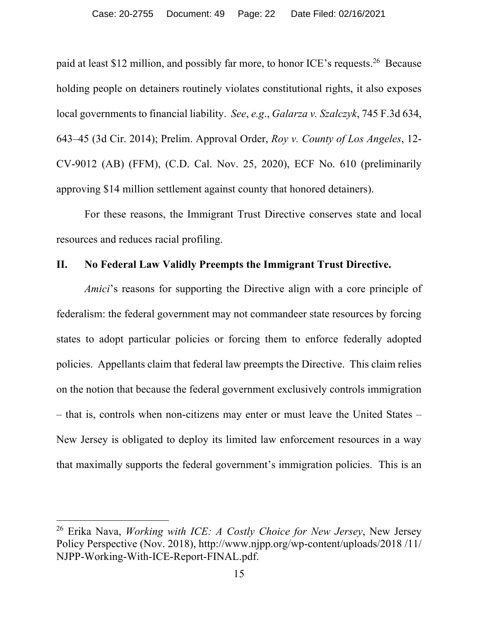paid at least \$12 million, and possibly far more, to honor ICE's requests.26 Because holding people on detainers routinely violates constitutional rights, it also exposes local governments to financial liability. *See*, *e.g*., *Galarza v. Szalczyk*, 745 F.3d 634, 643–45 (3d Cir. 2014); Prelim. Approval Order, *Roy v. County of Los Angeles*, 12- CV-9012 (AB) (FFM), (C.D. Cal. Nov. 25, 2020), ECF No. 610 (preliminarily approving \$14 million settlement against county that honored detainers).

For these reasons, the Immigrant Trust Directive conserves state and local resources and reduces racial profiling.

#### **II. No Federal Law Validly Preempts the Immigrant Trust Directive.**

*Amici*'s reasons for supporting the Directive align with a core principle of federalism: the federal government may not commandeer state resources by forcing states to adopt particular policies or forcing them to enforce federally adopted policies. Appellants claim that federal law preempts the Directive. This claim relies on the notion that because the federal government exclusively controls immigration – that is, controls when non-citizens may enter or must leave the United States – New Jersey is obligated to deploy its limited law enforcement resources in a way that maximally supports the federal government's immigration policies. This is an

<sup>26</sup> Erika Nava, *Working with ICE: A Costly Choice for New Jersey*, New Jersey Policy Perspective (Nov. 2018), http://www.njpp.org/wp-content/uploads/2018 /11/ NJPP-Working-With-ICE-Report-FINAL.pdf.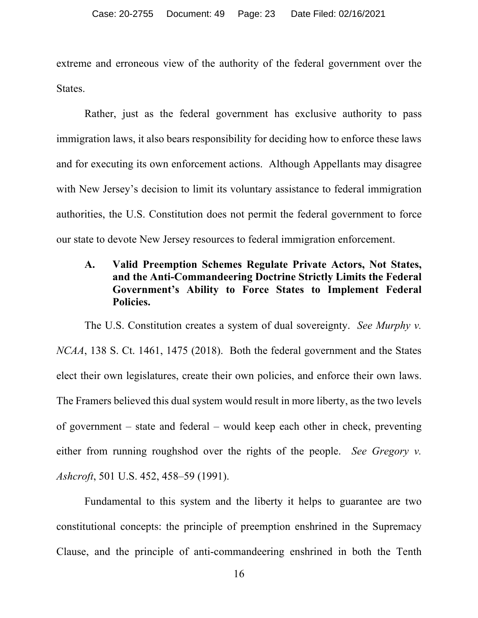extreme and erroneous view of the authority of the federal government over the States.

Rather, just as the federal government has exclusive authority to pass immigration laws, it also bears responsibility for deciding how to enforce these laws and for executing its own enforcement actions. Although Appellants may disagree with New Jersey's decision to limit its voluntary assistance to federal immigration authorities, the U.S. Constitution does not permit the federal government to force our state to devote New Jersey resources to federal immigration enforcement.

### **A. Valid Preemption Schemes Regulate Private Actors, Not States, and the Anti-Commandeering Doctrine Strictly Limits the Federal Government's Ability to Force States to Implement Federal Policies.**

The U.S. Constitution creates a system of dual sovereignty. *See Murphy v. NCAA*, 138 S. Ct. 1461, 1475 (2018). Both the federal government and the States elect their own legislatures, create their own policies, and enforce their own laws. The Framers believed this dual system would result in more liberty, as the two levels of government – state and federal – would keep each other in check, preventing either from running roughshod over the rights of the people. *See Gregory v. Ashcroft*, 501 U.S. 452, 458–59 (1991).

Fundamental to this system and the liberty it helps to guarantee are two constitutional concepts: the principle of preemption enshrined in the Supremacy Clause, and the principle of anti-commandeering enshrined in both the Tenth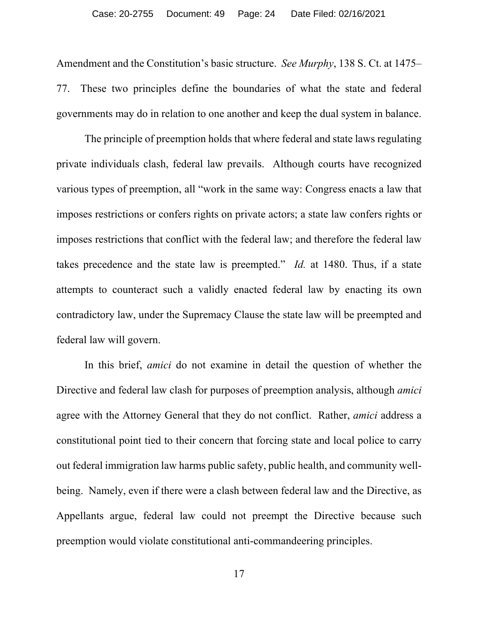Amendment and the Constitution's basic structure. *See Murphy*, 138 S. Ct. at 1475– 77. These two principles define the boundaries of what the state and federal governments may do in relation to one another and keep the dual system in balance.

The principle of preemption holds that where federal and state laws regulating private individuals clash, federal law prevails. Although courts have recognized various types of preemption, all "work in the same way: Congress enacts a law that imposes restrictions or confers rights on private actors; a state law confers rights or imposes restrictions that conflict with the federal law; and therefore the federal law takes precedence and the state law is preempted." *Id.* at 1480. Thus, if a state attempts to counteract such a validly enacted federal law by enacting its own contradictory law, under the Supremacy Clause the state law will be preempted and federal law will govern.

In this brief, *amici* do not examine in detail the question of whether the Directive and federal law clash for purposes of preemption analysis, although *amici* agree with the Attorney General that they do not conflict. Rather, *amici* address a constitutional point tied to their concern that forcing state and local police to carry out federal immigration law harms public safety, public health, and community wellbeing. Namely, even if there were a clash between federal law and the Directive, as Appellants argue, federal law could not preempt the Directive because such preemption would violate constitutional anti-commandeering principles.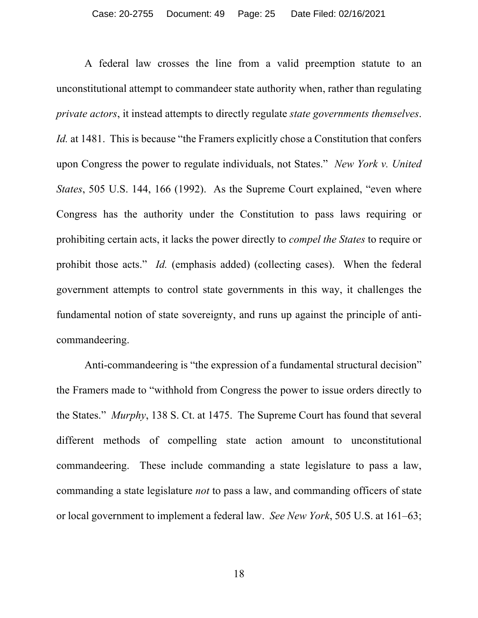A federal law crosses the line from a valid preemption statute to an unconstitutional attempt to commandeer state authority when, rather than regulating *private actors*, it instead attempts to directly regulate *state governments themselves*. *Id.* at 1481. This is because "the Framers explicitly chose a Constitution that confers upon Congress the power to regulate individuals, not States." *New York v. United States*, 505 U.S. 144, 166 (1992). As the Supreme Court explained, "even where Congress has the authority under the Constitution to pass laws requiring or prohibiting certain acts, it lacks the power directly to *compel the States* to require or prohibit those acts." *Id.* (emphasis added) (collecting cases). When the federal government attempts to control state governments in this way, it challenges the fundamental notion of state sovereignty, and runs up against the principle of anticommandeering.

Anti-commandeering is "the expression of a fundamental structural decision" the Framers made to "withhold from Congress the power to issue orders directly to the States." *Murphy*, 138 S. Ct. at 1475. The Supreme Court has found that several different methods of compelling state action amount to unconstitutional commandeering. These include commanding a state legislature to pass a law, commanding a state legislature *not* to pass a law, and commanding officers of state or local government to implement a federal law. *See New York*, 505 U.S. at 161–63;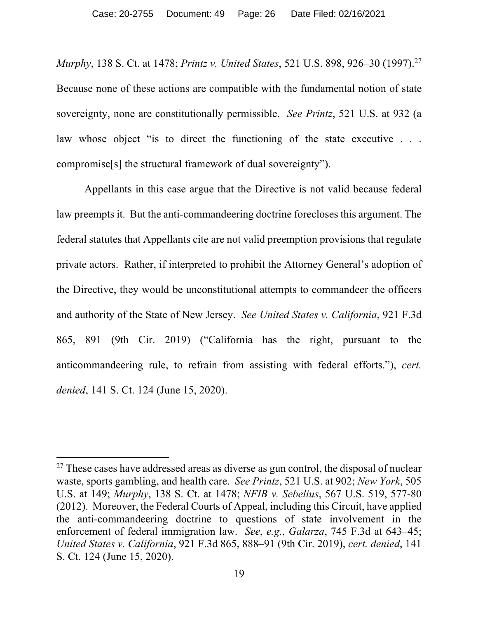*Murphy*, 138 S. Ct. at 1478; *Printz v. United States*, 521 U.S. 898, 926–30 (1997).27 Because none of these actions are compatible with the fundamental notion of state sovereignty, none are constitutionally permissible. *See Printz*, 521 U.S. at 932 (a law whose object "is to direct the functioning of the state executive . . . compromise[s] the structural framework of dual sovereignty").

Appellants in this case argue that the Directive is not valid because federal law preempts it. But the anti-commandeering doctrine forecloses this argument. The federal statutes that Appellants cite are not valid preemption provisions that regulate private actors. Rather, if interpreted to prohibit the Attorney General's adoption of the Directive, they would be unconstitutional attempts to commandeer the officers and authority of the State of New Jersey. *See United States v. California*, 921 F.3d 865, 891 (9th Cir. 2019) ("California has the right, pursuant to the anticommandeering rule, to refrain from assisting with federal efforts."), *cert. denied*, 141 S. Ct. 124 (June 15, 2020).

<sup>&</sup>lt;sup>27</sup> These cases have addressed areas as diverse as gun control, the disposal of nuclear waste, sports gambling, and health care. *See Printz*, 521 U.S. at 902; *New York*, 505 U.S. at 149; *Murphy*, 138 S. Ct. at 1478; *NFIB v. Sebelius*, 567 U.S. 519, 577-80 (2012). Moreover, the Federal Courts of Appeal, including this Circuit, have applied the anti-commandeering doctrine to questions of state involvement in the enforcement of federal immigration law. *See*, *e.g.*, *Galarza*, 745 F.3d at 643–45; *United States v. California*, 921 F.3d 865, 888–91 (9th Cir. 2019), *cert. denied*, 141 S. Ct. 124 (June 15, 2020).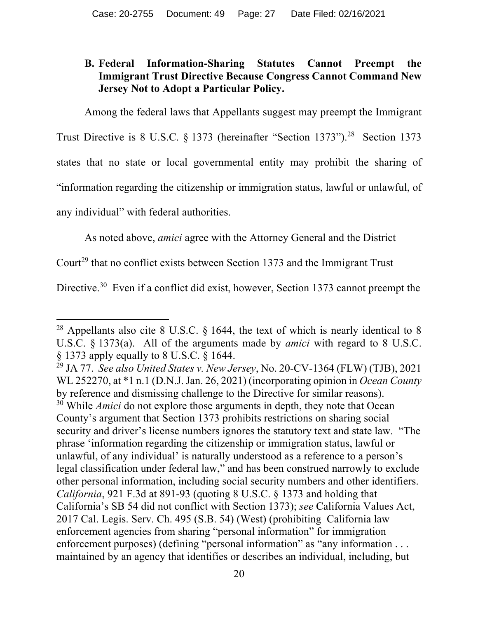## **B. Federal Information-Sharing Statutes Cannot Preempt the Immigrant Trust Directive Because Congress Cannot Command New Jersey Not to Adopt a Particular Policy.**

Among the federal laws that Appellants suggest may preempt the Immigrant

Trust Directive is 8 U.S.C. § 1373 (hereinafter "Section 1373").<sup>28</sup> Section 1373 states that no state or local governmental entity may prohibit the sharing of "information regarding the citizenship or immigration status, lawful or unlawful, of any individual" with federal authorities.

As noted above, *amici* agree with the Attorney General and the District

Court<sup>29</sup> that no conflict exists between Section 1373 and the Immigrant Trust

Directive.<sup>30</sup> Even if a conflict did exist, however, Section 1373 cannot preempt the

<sup>&</sup>lt;sup>28</sup> Appellants also cite 8 U.S.C.  $\S$  1644, the text of which is nearly identical to 8 U.S.C. § 1373(a). All of the arguments made by *amici* with regard to 8 U.S.C. § 1373 apply equally to 8 U.S.C. § 1644.

<sup>29</sup> JA 77. *See also United States v. New Jersey*, No. 20-CV-1364 (FLW) (TJB), 2021 WL 252270, at \*1 n.1 (D.N.J. Jan. 26, 2021) (incorporating opinion in *Ocean County* by reference and dismissing challenge to the Directive for similar reasons). <sup>30</sup> While *Amici* do not explore those arguments in depth, they note that Ocean County's argument that Section 1373 prohibits restrictions on sharing social security and driver's license numbers ignores the statutory text and state law. "The phrase 'information regarding the citizenship or immigration status, lawful or unlawful, of any individual' is naturally understood as a reference to a person's legal classification under federal law," and has been construed narrowly to exclude other personal information, including social security numbers and other identifiers. *California*, 921 F.3d at 891-93 (quoting 8 U.S.C. § 1373 and holding that California's SB 54 did not conflict with Section 1373); *see* California Values Act, 2017 Cal. Legis. Serv. Ch. 495 (S.B. 54) (West) (prohibiting California law enforcement agencies from sharing "personal information" for immigration enforcement purposes) (defining "personal information" as "any information . . . maintained by an agency that identifies or describes an individual, including, but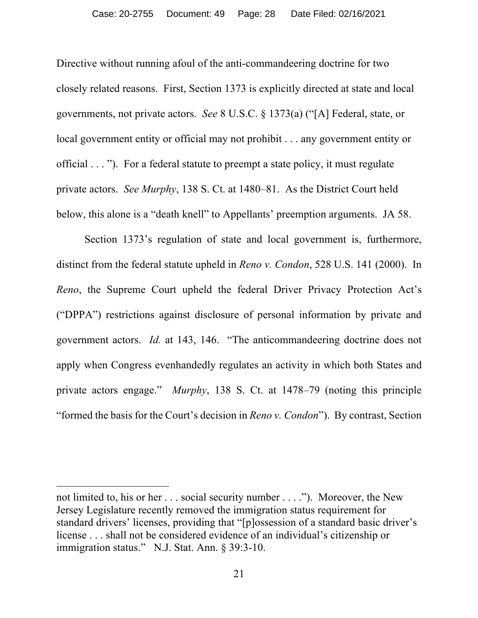Directive without running afoul of the anti-commandeering doctrine for two closely related reasons. First, Section 1373 is explicitly directed at state and local governments, not private actors. *See* 8 U.S.C. § 1373(a) ("[A] Federal, state, or local government entity or official may not prohibit . . . any government entity or official . . . "). For a federal statute to preempt a state policy, it must regulate private actors. *See Murphy*, 138 S. Ct. at 1480–81. As the District Court held below, this alone is a "death knell" to Appellants' preemption arguments. JA 58.

Section 1373's regulation of state and local government is, furthermore, distinct from the federal statute upheld in *Reno v. Condon*, 528 U.S. 141 (2000). In *Reno*, the Supreme Court upheld the federal Driver Privacy Protection Act's ("DPPA") restrictions against disclosure of personal information by private and government actors. *Id.* at 143, 146. "The anticommandeering doctrine does not apply when Congress evenhandedly regulates an activity in which both States and private actors engage." *Murphy*, 138 S. Ct. at 1478–79 (noting this principle "formed the basis for the Court's decision in *Reno v. Condon*"). By contrast, Section

not limited to, his or her . . . social security number . . . ."). Moreover, the New Jersey Legislature recently removed the immigration status requirement for standard drivers' licenses, providing that "[p]ossession of a standard basic driver's license . . . shall not be considered evidence of an individual's citizenship or immigration status." N.J. Stat. Ann. § 39:3-10.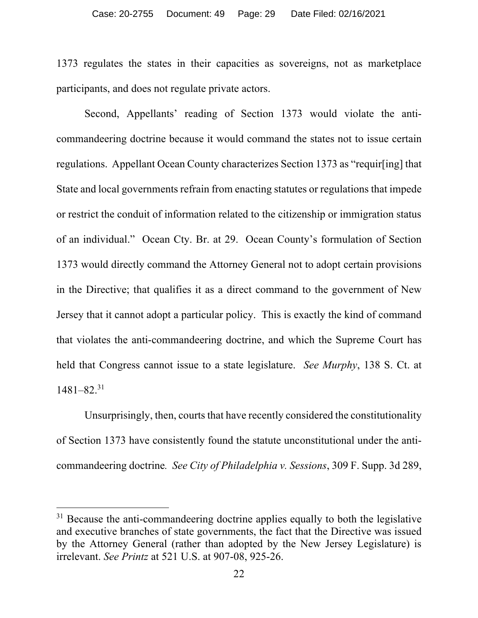1373 regulates the states in their capacities as sovereigns, not as marketplace participants, and does not regulate private actors.

Second, Appellants' reading of Section 1373 would violate the anticommandeering doctrine because it would command the states not to issue certain regulations. Appellant Ocean County characterizes Section 1373 as "requir[ing] that State and local governments refrain from enacting statutes or regulations that impede or restrict the conduit of information related to the citizenship or immigration status of an individual." Ocean Cty. Br. at 29. Ocean County's formulation of Section 1373 would directly command the Attorney General not to adopt certain provisions in the Directive; that qualifies it as a direct command to the government of New Jersey that it cannot adopt a particular policy. This is exactly the kind of command that violates the anti-commandeering doctrine, and which the Supreme Court has held that Congress cannot issue to a state legislature. *See Murphy*, 138 S. Ct. at 1481–82.31

Unsurprisingly, then, courts that have recently considered the constitutionality of Section 1373 have consistently found the statute unconstitutional under the anticommandeering doctrine*. See City of Philadelphia v. Sessions*, 309 F. Supp. 3d 289,

<sup>&</sup>lt;sup>31</sup> Because the anti-commandeering doctrine applies equally to both the legislative and executive branches of state governments, the fact that the Directive was issued by the Attorney General (rather than adopted by the New Jersey Legislature) is irrelevant. *See Printz* at 521 U.S. at 907-08, 925-26.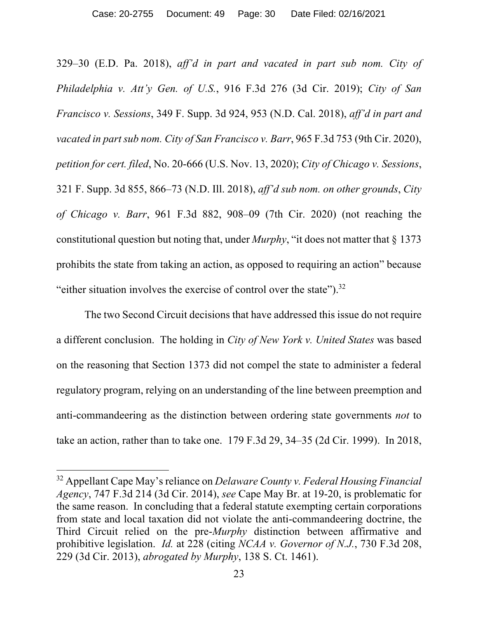329–30 (E.D. Pa. 2018), *aff'd in part and vacated in part sub nom. City of Philadelphia v. Att'y Gen. of U.S.*, 916 F.3d 276 (3d Cir. 2019); *City of San Francisco v. Sessions*, 349 F. Supp. 3d 924, 953 (N.D. Cal. 2018), *aff'd in part and vacated in part sub nom. City of San Francisco v. Barr*, 965 F.3d 753 (9th Cir. 2020), *petition for cert. filed*, No. 20-666 (U.S. Nov. 13, 2020); *City of Chicago v. Sessions*, 321 F. Supp. 3d 855, 866–73 (N.D. Ill. 2018), *aff'd sub nom. on other grounds*, *City of Chicago v. Barr*, 961 F.3d 882, 908–09 (7th Cir. 2020) (not reaching the constitutional question but noting that, under *Murphy*, "it does not matter that § 1373 prohibits the state from taking an action, as opposed to requiring an action" because "either situation involves the exercise of control over the state").32

The two Second Circuit decisions that have addressed this issue do not require a different conclusion. The holding in *City of New York v. United States* was based on the reasoning that Section 1373 did not compel the state to administer a federal regulatory program, relying on an understanding of the line between preemption and anti-commandeering as the distinction between ordering state governments *not* to take an action, rather than to take one. 179 F.3d 29, 34–35 (2d Cir. 1999). In 2018,

<sup>32</sup> Appellant Cape May's reliance on *Delaware County v. Federal Housing Financial Agency*, 747 F.3d 214 (3d Cir. 2014), *see* Cape May Br. at 19-20, is problematic for the same reason. In concluding that a federal statute exempting certain corporations from state and local taxation did not violate the anti-commandeering doctrine, the Third Circuit relied on the pre-*Murphy* distinction between affirmative and prohibitive legislation. *Id.* at 228 (citing *NCAA v. Governor of N.J.*, 730 F.3d 208, 229 (3d Cir. 2013), *abrogated by Murphy*, 138 S. Ct. 1461).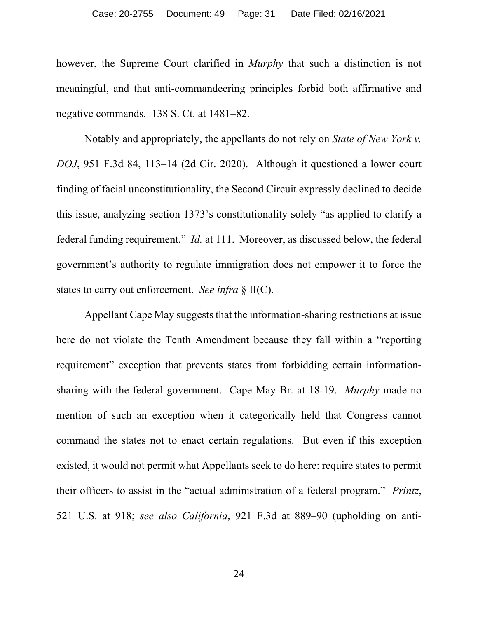however, the Supreme Court clarified in *Murphy* that such a distinction is not meaningful, and that anti-commandeering principles forbid both affirmative and negative commands. 138 S. Ct. at 1481–82.

Notably and appropriately, the appellants do not rely on *State of New York v. DOJ*, 951 F.3d 84, 113–14 (2d Cir. 2020). Although it questioned a lower court finding of facial unconstitutionality, the Second Circuit expressly declined to decide this issue, analyzing section 1373's constitutionality solely "as applied to clarify a federal funding requirement." *Id.* at 111. Moreover, as discussed below, the federal government's authority to regulate immigration does not empower it to force the states to carry out enforcement. *See infra* § II(C).

Appellant Cape May suggests that the information-sharing restrictions at issue here do not violate the Tenth Amendment because they fall within a "reporting requirement" exception that prevents states from forbidding certain informationsharing with the federal government. Cape May Br. at 18-19. *Murphy* made no mention of such an exception when it categorically held that Congress cannot command the states not to enact certain regulations. But even if this exception existed, it would not permit what Appellants seek to do here: require states to permit their officers to assist in the "actual administration of a federal program." *Printz*, 521 U.S. at 918; *see also California*, 921 F.3d at 889–90 (upholding on anti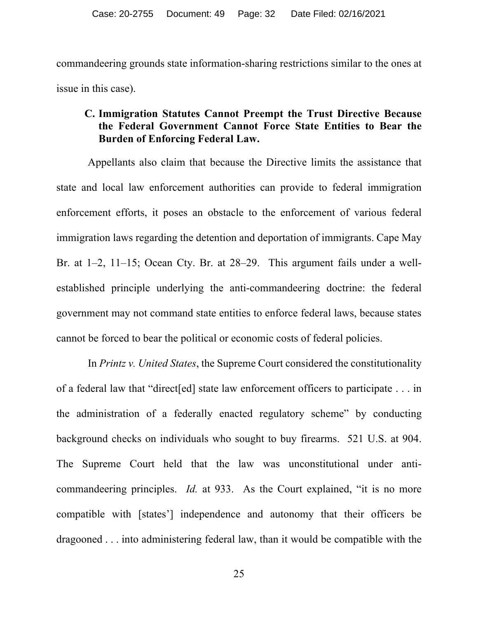commandeering grounds state information-sharing restrictions similar to the ones at issue in this case).

### **C. Immigration Statutes Cannot Preempt the Trust Directive Because the Federal Government Cannot Force State Entities to Bear the Burden of Enforcing Federal Law.**

Appellants also claim that because the Directive limits the assistance that state and local law enforcement authorities can provide to federal immigration enforcement efforts, it poses an obstacle to the enforcement of various federal immigration laws regarding the detention and deportation of immigrants. Cape May Br. at 1–2, 11–15; Ocean Cty. Br. at 28–29. This argument fails under a wellestablished principle underlying the anti-commandeering doctrine: the federal government may not command state entities to enforce federal laws, because states cannot be forced to bear the political or economic costs of federal policies.

In *Printz v. United States*, the Supreme Court considered the constitutionality of a federal law that "direct[ed] state law enforcement officers to participate . . . in the administration of a federally enacted regulatory scheme" by conducting background checks on individuals who sought to buy firearms. 521 U.S. at 904. The Supreme Court held that the law was unconstitutional under anticommandeering principles. *Id.* at 933. As the Court explained, "it is no more compatible with [states'] independence and autonomy that their officers be dragooned . . . into administering federal law, than it would be compatible with the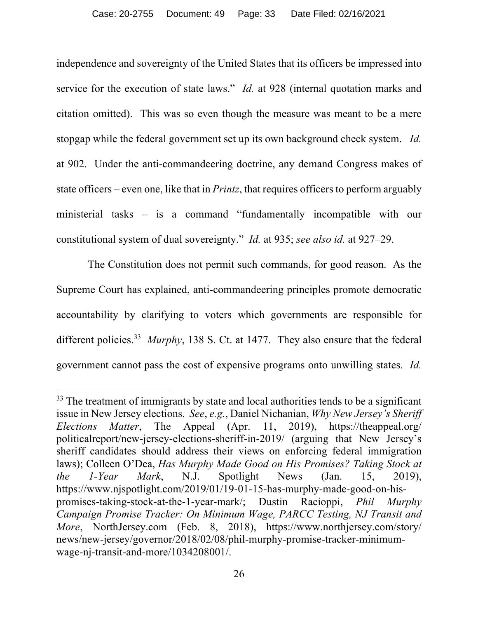independence and sovereignty of the United States that its officers be impressed into service for the execution of state laws." *Id.* at 928 (internal quotation marks and citation omitted). This was so even though the measure was meant to be a mere stopgap while the federal government set up its own background check system. *Id.* at 902. Under the anti-commandeering doctrine, any demand Congress makes of state officers – even one, like that in *Printz*, that requires officers to perform arguably ministerial tasks – is a command "fundamentally incompatible with our constitutional system of dual sovereignty." *Id.* at 935; *see also id.* at 927–29.

The Constitution does not permit such commands, for good reason. As the Supreme Court has explained, anti-commandeering principles promote democratic accountability by clarifying to voters which governments are responsible for different policies.33 *Murphy*, 138 S. Ct. at 1477. They also ensure that the federal government cannot pass the cost of expensive programs onto unwilling states. *Id.*

 $33$  The treatment of immigrants by state and local authorities tends to be a significant issue in New Jersey elections. *See*, *e.g.*, Daniel Nichanian, *Why New Jersey's Sheriff Elections Matter*, The Appeal (Apr. 11, 2019), https://theappeal.org/ politicalreport/new-jersey-elections-sheriff-in-2019/ (arguing that New Jersey's sheriff candidates should address their views on enforcing federal immigration laws); Colleen O'Dea, *Has Murphy Made Good on His Promises? Taking Stock at the 1-Year Mark*, N.J. Spotlight News (Jan. 15, 2019), https://www.njspotlight.com/2019/01/19-01-15-has-murphy-made-good-on-hispromises-taking-stock-at-the-1-year-mark/; Dustin Racioppi, *Phil Murphy Campaign Promise Tracker: On Minimum Wage, PARCC Testing, NJ Transit and More*, NorthJersey.com (Feb. 8, 2018), https://www.northjersey.com/story/ news/new-jersey/governor/2018/02/08/phil-murphy-promise-tracker-minimumwage-nj-transit-and-more/1034208001/.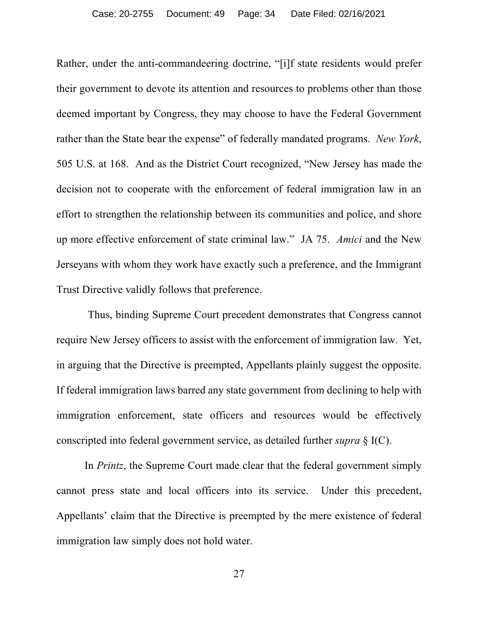Rather, under the anti-commandeering doctrine, "[i]f state residents would prefer their government to devote its attention and resources to problems other than those deemed important by Congress, they may choose to have the Federal Government rather than the State bear the expense" of federally mandated programs. *New York*, 505 U.S. at 168. And as the District Court recognized, "New Jersey has made the decision not to cooperate with the enforcement of federal immigration law in an effort to strengthen the relationship between its communities and police, and shore up more effective enforcement of state criminal law." JA 75. *Amici* and the New Jerseyans with whom they work have exactly such a preference, and the Immigrant Trust Directive validly follows that preference.

Thus, binding Supreme Court precedent demonstrates that Congress cannot require New Jersey officers to assist with the enforcement of immigration law. Yet, in arguing that the Directive is preempted, Appellants plainly suggest the opposite. If federal immigration laws barred any state government from declining to help with immigration enforcement, state officers and resources would be effectively conscripted into federal government service, as detailed further *supra* § I(C).

In *Printz*, the Supreme Court made clear that the federal government simply cannot press state and local officers into its service. Under this precedent, Appellants' claim that the Directive is preempted by the mere existence of federal immigration law simply does not hold water.

27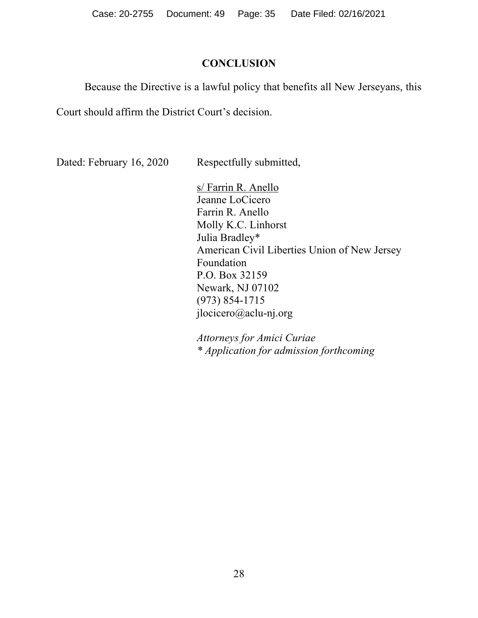Case: 20-2755 Document: 49 Page: 35 Date Filed: 02/16/2021

#### **CONCLUSION**

Because the Directive is a lawful policy that benefits all New Jerseyans, this

Court should affirm the District Court's decision.

Dated: February 16, 2020 Respectfully submitted,

s/ Farrin R. Anello Jeanne LoCicero Farrin R. Anello Molly K.C. Linhorst Julia Bradley\* American Civil Liberties Union of New Jersey Foundation P.O. Box 32159 Newark, NJ 07102 (973) 854-1715 jlocicero@aclu-nj.org

*Attorneys for Amici Curiae \* Application for admission forthcoming*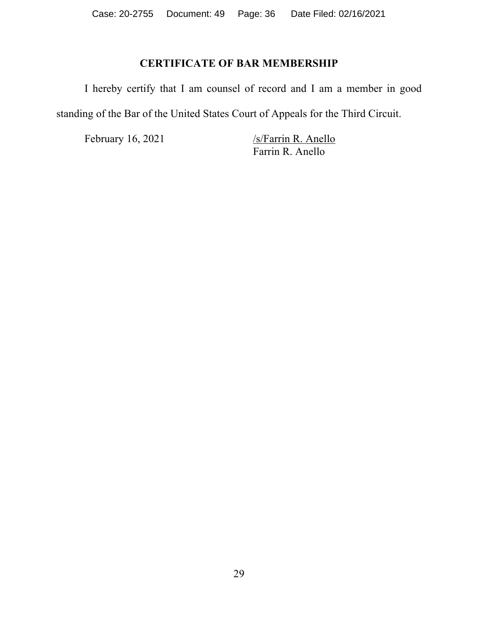## **CERTIFICATE OF BAR MEMBERSHIP**

I hereby certify that I am counsel of record and I am a member in good standing of the Bar of the United States Court of Appeals for the Third Circuit.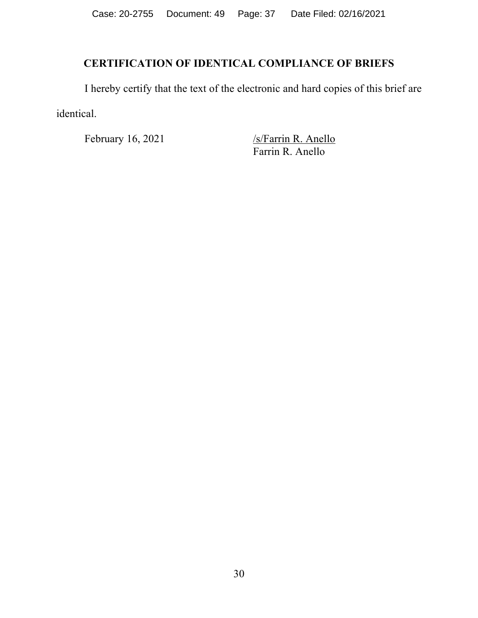# **CERTIFICATION OF IDENTICAL COMPLIANCE OF BRIEFS**

I hereby certify that the text of the electronic and hard copies of this brief are identical.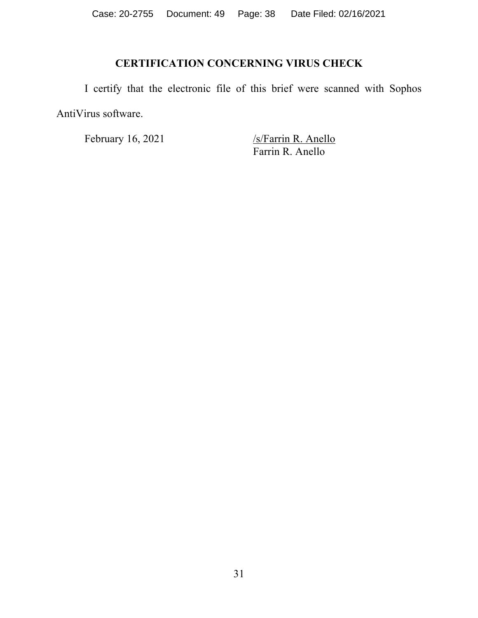# **CERTIFICATION CONCERNING VIRUS CHECK**

I certify that the electronic file of this brief were scanned with Sophos AntiVirus software.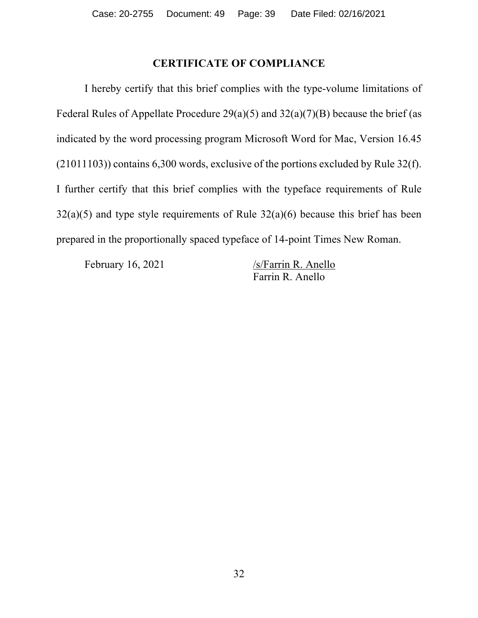### **CERTIFICATE OF COMPLIANCE**

I hereby certify that this brief complies with the type-volume limitations of Federal Rules of Appellate Procedure  $29(a)(5)$  and  $32(a)(7)(B)$  because the brief (as indicated by the word processing program Microsoft Word for Mac, Version 16.45 (21011103)) contains 6,300 words, exclusive of the portions excluded by Rule 32(f). I further certify that this brief complies with the typeface requirements of Rule  $32(a)(5)$  and type style requirements of Rule  $32(a)(6)$  because this brief has been prepared in the proportionally spaced typeface of 14-point Times New Roman.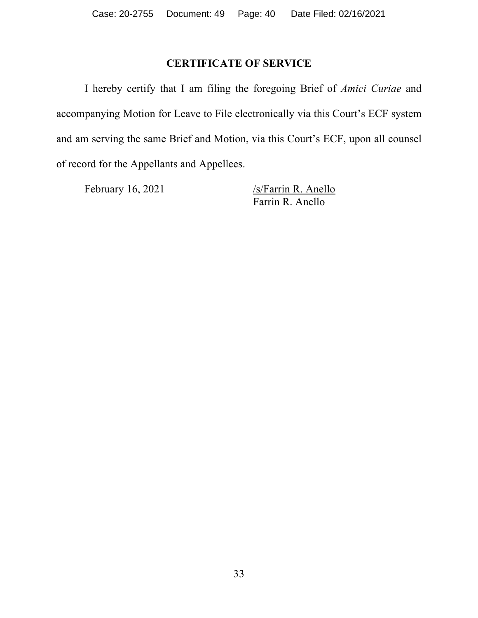## **CERTIFICATE OF SERVICE**

I hereby certify that I am filing the foregoing Brief of *Amici Curiae* and accompanying Motion for Leave to File electronically via this Court's ECF system and am serving the same Brief and Motion, via this Court's ECF, upon all counsel of record for the Appellants and Appellees.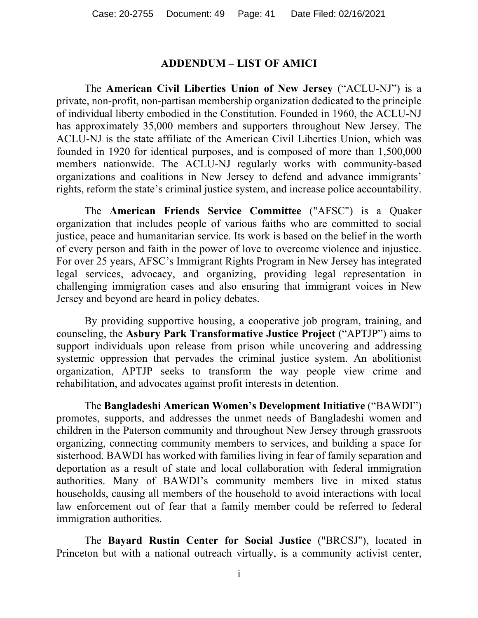#### **ADDENDUM – LIST OF AMICI**

The **American Civil Liberties Union of New Jersey** ("ACLU-NJ") is a private, non-profit, non-partisan membership organization dedicated to the principle of individual liberty embodied in the Constitution. Founded in 1960, the ACLU-NJ has approximately 35,000 members and supporters throughout New Jersey. The ACLU-NJ is the state affiliate of the American Civil Liberties Union, which was founded in 1920 for identical purposes, and is composed of more than 1,500,000 members nationwide. The ACLU-NJ regularly works with community-based organizations and coalitions in New Jersey to defend and advance immigrants' rights, reform the state's criminal justice system, and increase police accountability.

The **American Friends Service Committee** ("AFSC") is a Quaker organization that includes people of various faiths who are committed to social justice, peace and humanitarian service. Its work is based on the belief in the worth of every person and faith in the power of love to overcome violence and injustice. For over 25 years, AFSC's Immigrant Rights Program in New Jersey has integrated legal services, advocacy, and organizing, providing legal representation in challenging immigration cases and also ensuring that immigrant voices in New Jersey and beyond are heard in policy debates. 

By providing supportive housing, a cooperative job program, training, and counseling, the **Asbury Park Transformative Justice Project** ("APTJP") aims to support individuals upon release from prison while uncovering and addressing systemic oppression that pervades the criminal justice system. An abolitionist organization, APTJP seeks to transform the way people view crime and rehabilitation, and advocates against profit interests in detention.

The **Bangladeshi American Women's Development Initiative** ("BAWDI") promotes, supports, and addresses the unmet needs of Bangladeshi women and children in the Paterson community and throughout New Jersey through grassroots organizing, connecting community members to services, and building a space for sisterhood. BAWDI has worked with families living in fear of family separation and deportation as a result of state and local collaboration with federal immigration authorities. Many of BAWDI's community members live in mixed status households, causing all members of the household to avoid interactions with local law enforcement out of fear that a family member could be referred to federal immigration authorities.

The **Bayard Rustin Center for Social Justice** ("BRCSJ"), located in Princeton but with a national outreach virtually, is a community activist center,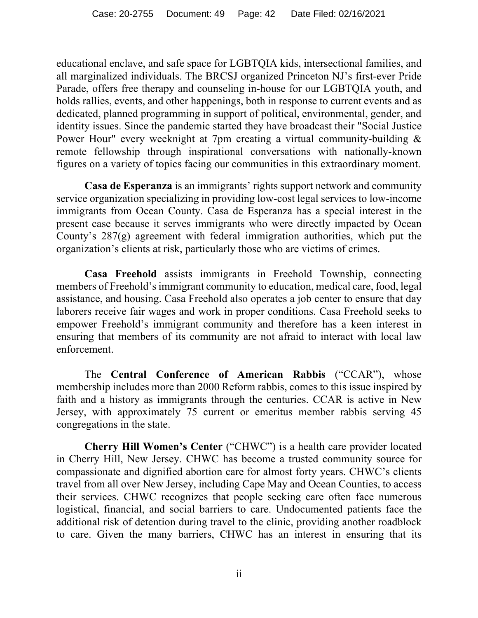educational enclave, and safe space for LGBTQIA kids, intersectional families, and all marginalized individuals. The BRCSJ organized Princeton NJ's first-ever Pride Parade, offers free therapy and counseling in-house for our LGBTQIA youth, and holds rallies, events, and other happenings, both in response to current events and as dedicated, planned programming in support of political, environmental, gender, and identity issues. Since the pandemic started they have broadcast their "Social Justice Power Hour" every weeknight at 7pm creating a virtual community-building & remote fellowship through inspirational conversations with nationally-known figures on a variety of topics facing our communities in this extraordinary moment.

**Casa de Esperanza** is an immigrants' rights support network and community service organization specializing in providing low-cost legal services to low-income immigrants from Ocean County. Casa de Esperanza has a special interest in the present case because it serves immigrants who were directly impacted by Ocean County's 287(g) agreement with federal immigration authorities, which put the organization's clients at risk, particularly those who are victims of crimes.

**Casa Freehold** assists immigrants in Freehold Township, connecting members of Freehold's immigrant community to education, medical care, food, legal assistance, and housing. Casa Freehold also operates a job center to ensure that day laborers receive fair wages and work in proper conditions. Casa Freehold seeks to empower Freehold's immigrant community and therefore has a keen interest in ensuring that members of its community are not afraid to interact with local law enforcement.

The **Central Conference of American Rabbis** ("CCAR"), whose membership includes more than 2000 Reform rabbis, comes to this issue inspired by faith and a history as immigrants through the centuries. CCAR is active in New Jersey, with approximately 75 current or emeritus member rabbis serving 45 congregations in the state.

**Cherry Hill Women's Center** ("CHWC") is a health care provider located in Cherry Hill, New Jersey. CHWC has become a trusted community source for compassionate and dignified abortion care for almost forty years. CHWC's clients travel from all over New Jersey, including Cape May and Ocean Counties, to access their services. CHWC recognizes that people seeking care often face numerous logistical, financial, and social barriers to care. Undocumented patients face the additional risk of detention during travel to the clinic, providing another roadblock to care. Given the many barriers, CHWC has an interest in ensuring that its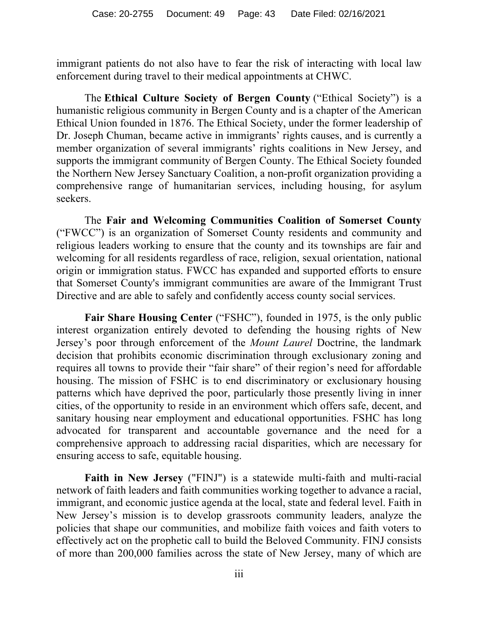immigrant patients do not also have to fear the risk of interacting with local law enforcement during travel to their medical appointments at CHWC.

The **Ethical Culture Society of Bergen County** ("Ethical Society") is a humanistic religious community in Bergen County and is a chapter of the American Ethical Union founded in 1876. The Ethical Society, under the former leadership of Dr. Joseph Chuman, became active in immigrants' rights causes, and is currently a member organization of several immigrants' rights coalitions in New Jersey, and supports the immigrant community of Bergen County. The Ethical Society founded the Northern New Jersey Sanctuary Coalition, a non-profit organization providing a comprehensive range of humanitarian services, including housing, for asylum seekers.

The **Fair and Welcoming Communities Coalition of Somerset County** ("FWCC") is an organization of Somerset County residents and community and religious leaders working to ensure that the county and its townships are fair and welcoming for all residents regardless of race, religion, sexual orientation, national origin or immigration status. FWCC has expanded and supported efforts to ensure that Somerset County's immigrant communities are aware of the Immigrant Trust Directive and are able to safely and confidently access county social services.

**Fair Share Housing Center** ("FSHC"), founded in 1975, is the only public interest organization entirely devoted to defending the housing rights of New Jersey's poor through enforcement of the *Mount Laurel* Doctrine, the landmark decision that prohibits economic discrimination through exclusionary zoning and requires all towns to provide their "fair share" of their region's need for affordable housing. The mission of FSHC is to end discriminatory or exclusionary housing patterns which have deprived the poor, particularly those presently living in inner cities, of the opportunity to reside in an environment which offers safe, decent, and sanitary housing near employment and educational opportunities. FSHC has long advocated for transparent and accountable governance and the need for a comprehensive approach to addressing racial disparities, which are necessary for ensuring access to safe, equitable housing.

**Faith in New Jersey** ("FINJ") is a statewide multi-faith and multi-racial network of faith leaders and faith communities working together to advance a racial, immigrant, and economic justice agenda at the local, state and federal level. Faith in New Jersey's mission is to develop grassroots community leaders, analyze the policies that shape our communities, and mobilize faith voices and faith voters to effectively act on the prophetic call to build the Beloved Community. FINJ consists of more than 200,000 families across the state of New Jersey, many of which are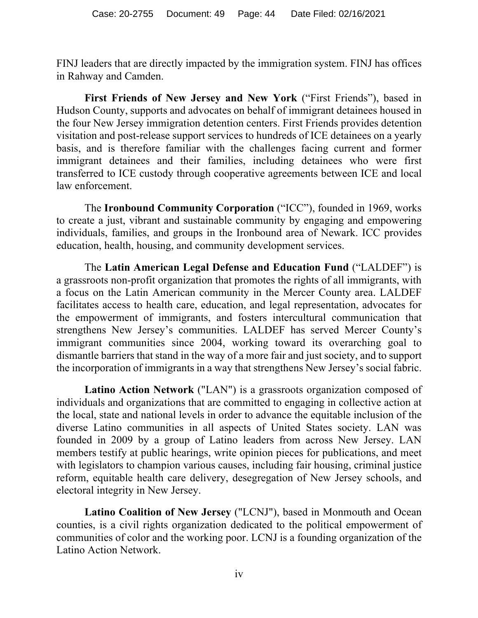FINJ leaders that are directly impacted by the immigration system. FINJ has offices in Rahway and Camden.

**First Friends of New Jersey and New York** ("First Friends"), based in Hudson County, supports and advocates on behalf of immigrant detainees housed in the four New Jersey immigration detention centers. First Friends provides detention visitation and post-release support services to hundreds of ICE detainees on a yearly basis, and is therefore familiar with the challenges facing current and former immigrant detainees and their families, including detainees who were first transferred to ICE custody through cooperative agreements between ICE and local law enforcement.

The **Ironbound Community Corporation** ("ICC"), founded in 1969, works to create a just, vibrant and sustainable community by engaging and empowering individuals, families, and groups in the Ironbound area of Newark. ICC provides education, health, housing, and community development services.

The **Latin American Legal Defense and Education Fund** ("LALDEF") is a grassroots non-profit organization that promotes the rights of all immigrants, with a focus on the Latin American community in the Mercer County area. LALDEF facilitates access to health care, education, and legal representation, advocates for the empowerment of immigrants, and fosters intercultural communication that strengthens New Jersey's communities. LALDEF has served Mercer County's immigrant communities since 2004, working toward its overarching goal to dismantle barriers that stand in the way of a more fair and just society, and to support the incorporation of immigrants in a way that strengthens New Jersey's social fabric.

**Latino Action Network** ("LAN") is a grassroots organization composed of individuals and organizations that are committed to engaging in collective action at the local, state and national levels in order to advance the equitable inclusion of the diverse Latino communities in all aspects of United States society. LAN was founded in 2009 by a group of Latino leaders from across New Jersey. LAN members testify at public hearings, write opinion pieces for publications, and meet with legislators to champion various causes, including fair housing, criminal justice reform, equitable health care delivery, desegregation of New Jersey schools, and electoral integrity in New Jersey.

**Latino Coalition of New Jersey** ("LCNJ"), based in Monmouth and Ocean counties, is a civil rights organization dedicated to the political empowerment of communities of color and the working poor. LCNJ is a founding organization of the Latino Action Network.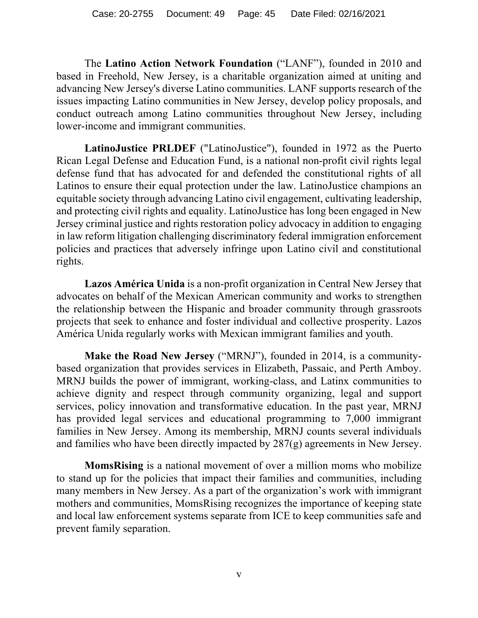The **Latino Action Network Foundation** ("LANF"), founded in 2010 and based in Freehold, New Jersey, is a charitable organization aimed at uniting and advancing New Jersey's diverse Latino communities. LANF supports research of the issues impacting Latino communities in New Jersey, develop policy proposals, and conduct outreach among Latino communities throughout New Jersey, including lower-income and immigrant communities.

**LatinoJustice PRLDEF** ("LatinoJustice"), founded in 1972 as the Puerto Rican Legal Defense and Education Fund, is a national non-profit civil rights legal defense fund that has advocated for and defended the constitutional rights of all Latinos to ensure their equal protection under the law. LatinoJustice champions an equitable society through advancing Latino civil engagement, cultivating leadership, and protecting civil rights and equality. LatinoJustice has long been engaged in New Jersey criminal justice and rights restoration policy advocacy in addition to engaging in law reform litigation challenging discriminatory federal immigration enforcement policies and practices that adversely infringe upon Latino civil and constitutional rights.

**Lazos América Unida** is a non-profit organization in Central New Jersey that advocates on behalf of the Mexican American community and works to strengthen the relationship between the Hispanic and broader community through grassroots projects that seek to enhance and foster individual and collective prosperity. Lazos América Unida regularly works with Mexican immigrant families and youth.

**Make the Road New Jersey** ("MRNJ"), founded in 2014, is a communitybased organization that provides services in Elizabeth, Passaic, and Perth Amboy. MRNJ builds the power of immigrant, working-class, and Latinx communities to achieve dignity and respect through community organizing, legal and support services, policy innovation and transformative education. In the past year, MRNJ has provided legal services and educational programming to 7,000 immigrant families in New Jersey. Among its membership, MRNJ counts several individuals and families who have been directly impacted by 287(g) agreements in New Jersey.

**MomsRising** is a national movement of over a million moms who mobilize to stand up for the policies that impact their families and communities, including many members in New Jersey. As a part of the organization's work with immigrant mothers and communities, MomsRising recognizes the importance of keeping state and local law enforcement systems separate from ICE to keep communities safe and prevent family separation.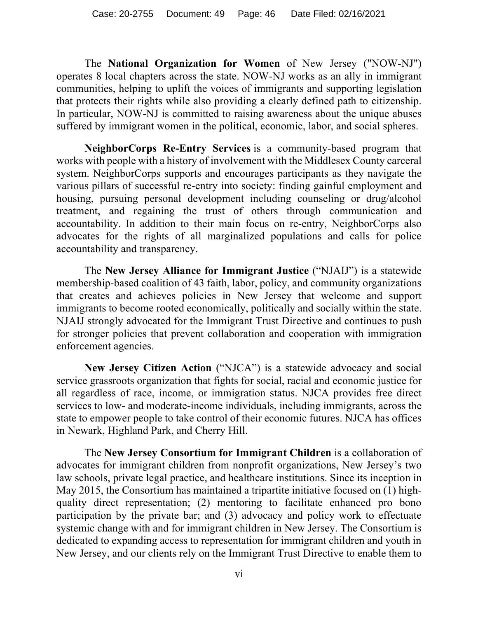The **National Organization for Women** of New Jersey ("NOW-NJ") operates 8 local chapters across the state. NOW-NJ works as an ally in immigrant communities, helping to uplift the voices of immigrants and supporting legislation that protects their rights while also providing a clearly defined path to citizenship. In particular, NOW-NJ is committed to raising awareness about the unique abuses suffered by immigrant women in the political, economic, labor, and social spheres.

**NeighborCorps Re-Entry Services** is a community-based program that works with people with a history of involvement with the Middlesex County carceral system. NeighborCorps supports and encourages participants as they navigate the various pillars of successful re-entry into society: finding gainful employment and housing, pursuing personal development including counseling or drug/alcohol treatment, and regaining the trust of others through communication and accountability. In addition to their main focus on re-entry, NeighborCorps also advocates for the rights of all marginalized populations and calls for police accountability and transparency.

The **New Jersey Alliance for Immigrant Justice** ("NJAIJ") is a statewide membership-based coalition of 43 faith, labor, policy, and community organizations that creates and achieves policies in New Jersey that welcome and support immigrants to become rooted economically, politically and socially within the state. NJAIJ strongly advocated for the Immigrant Trust Directive and continues to push for stronger policies that prevent collaboration and cooperation with immigration enforcement agencies.

**New Jersey Citizen Action** ("NJCA") is a statewide advocacy and social service grassroots organization that fights for social, racial and economic justice for all regardless of race, income, or immigration status. NJCA provides free direct services to low- and moderate-income individuals, including immigrants, across the state to empower people to take control of their economic futures. NJCA has offices in Newark, Highland Park, and Cherry Hill.

The **New Jersey Consortium for Immigrant Children** is a collaboration of advocates for immigrant children from nonprofit organizations, New Jersey's two law schools, private legal practice, and healthcare institutions. Since its inception in May 2015, the Consortium has maintained a tripartite initiative focused on (1) highquality direct representation; (2) mentoring to facilitate enhanced pro bono participation by the private bar; and (3) advocacy and policy work to effectuate systemic change with and for immigrant children in New Jersey. The Consortium is dedicated to expanding access to representation for immigrant children and youth in New Jersey, and our clients rely on the Immigrant Trust Directive to enable them to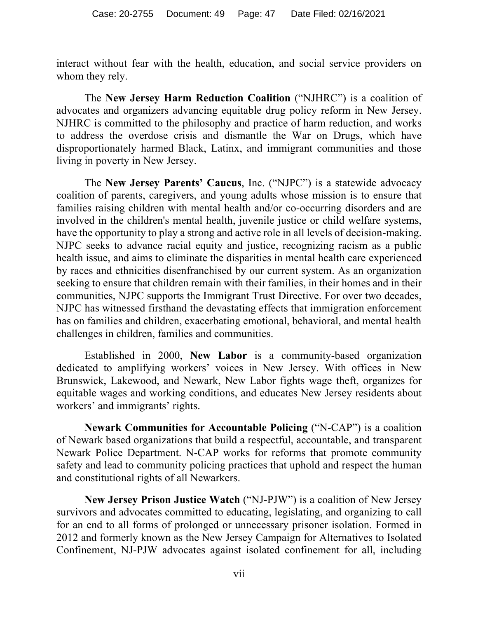interact without fear with the health, education, and social service providers on whom they rely.

The **New Jersey Harm Reduction Coalition** ("NJHRC") is a coalition of advocates and organizers advancing equitable drug policy reform in New Jersey. NJHRC is committed to the philosophy and practice of harm reduction, and works to address the overdose crisis and dismantle the War on Drugs, which have disproportionately harmed Black, Latinx, and immigrant communities and those living in poverty in New Jersey.

The **New Jersey Parents' Caucus**, Inc. ("NJPC") is a statewide advocacy coalition of parents, caregivers, and young adults whose mission is to ensure that families raising children with mental health and/or co-occurring disorders and are involved in the children's mental health, juvenile justice or child welfare systems, have the opportunity to play a strong and active role in all levels of decision-making. NJPC seeks to advance racial equity and justice, recognizing racism as a public health issue, and aims to eliminate the disparities in mental health care experienced by races and ethnicities disenfranchised by our current system. As an organization seeking to ensure that children remain with their families, in their homes and in their communities, NJPC supports the Immigrant Trust Directive. For over two decades, NJPC has witnessed firsthand the devastating effects that immigration enforcement has on families and children, exacerbating emotional, behavioral, and mental health challenges in children, families and communities.

Established in 2000, **New Labor** is a community-based organization dedicated to amplifying workers' voices in New Jersey. With offices in New Brunswick, Lakewood, and Newark, New Labor fights wage theft, organizes for equitable wages and working conditions, and educates New Jersey residents about workers' and immigrants' rights.

**Newark Communities for Accountable Policing** ("N-CAP") is a coalition of Newark based organizations that build a respectful, accountable, and transparent Newark Police Department. N-CAP works for reforms that promote community safety and lead to community policing practices that uphold and respect the human and constitutional rights of all Newarkers.

**New Jersey Prison Justice Watch** ("NJ-PJW") is a coalition of New Jersey survivors and advocates committed to educating, legislating, and organizing to call for an end to all forms of prolonged or unnecessary prisoner isolation. Formed in 2012 and formerly known as the New Jersey Campaign for Alternatives to Isolated Confinement, NJ-PJW advocates against isolated confinement for all, including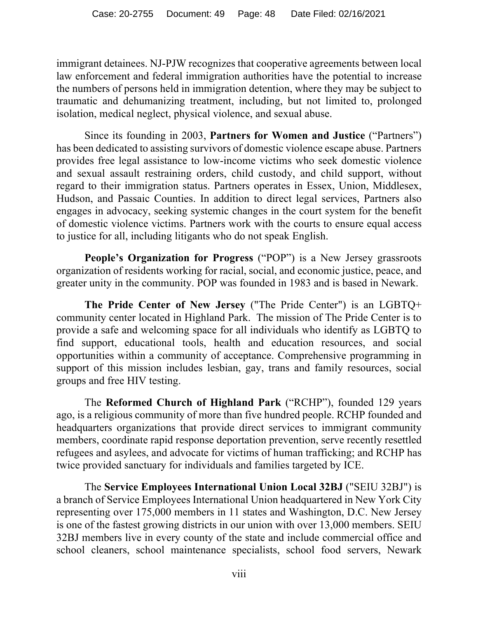immigrant detainees. NJ-PJW recognizes that cooperative agreements between local law enforcement and federal immigration authorities have the potential to increase the numbers of persons held in immigration detention, where they may be subject to traumatic and dehumanizing treatment, including, but not limited to, prolonged isolation, medical neglect, physical violence, and sexual abuse.

Since its founding in 2003, **Partners for Women and Justice** ("Partners") has been dedicated to assisting survivors of domestic violence escape abuse. Partners provides free legal assistance to low-income victims who seek domestic violence and sexual assault restraining orders, child custody, and child support, without regard to their immigration status. Partners operates in Essex, Union, Middlesex, Hudson, and Passaic Counties. In addition to direct legal services, Partners also engages in advocacy, seeking systemic changes in the court system for the benefit of domestic violence victims. Partners work with the courts to ensure equal access to justice for all, including litigants who do not speak English.

**People's Organization for Progress** ("POP") is a New Jersey grassroots organization of residents working for racial, social, and economic justice, peace, and greater unity in the community. POP was founded in 1983 and is based in Newark.

**The Pride Center of New Jersey** ("The Pride Center") is an LGBTQ+ community center located in Highland Park. The mission of The Pride Center is to provide a safe and welcoming space for all individuals who identify as LGBTQ to find support, educational tools, health and education resources, and social opportunities within a community of acceptance. Comprehensive programming in support of this mission includes lesbian, gay, trans and family resources, social groups and free HIV testing.

The **Reformed Church of Highland Park** ("RCHP"), founded 129 years ago, is a religious community of more than five hundred people. RCHP founded and headquarters organizations that provide direct services to immigrant community members, coordinate rapid response deportation prevention, serve recently resettled refugees and asylees, and advocate for victims of human trafficking; and RCHP has twice provided sanctuary for individuals and families targeted by ICE.

The **Service Employees International Union Local 32BJ** ("SEIU 32BJ") is a branch of Service Employees International Union headquartered in New York City representing over 175,000 members in 11 states and Washington, D.C. New Jersey is one of the fastest growing districts in our union with over 13,000 members. SEIU 32BJ members live in every county of the state and include commercial office and school cleaners, school maintenance specialists, school food servers, Newark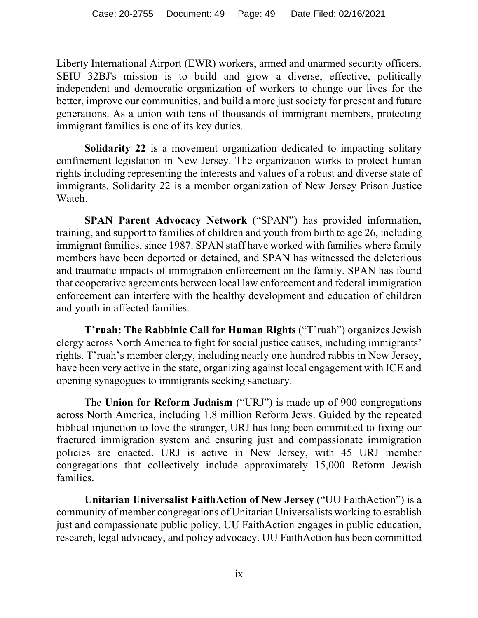Liberty International Airport (EWR) workers, armed and unarmed security officers. SEIU 32BJ's mission is to build and grow a diverse, effective, politically independent and democratic organization of workers to change our lives for the better, improve our communities, and build a more just society for present and future generations. As a union with tens of thousands of immigrant members, protecting immigrant families is one of its key duties.

**Solidarity 22** is a movement organization dedicated to impacting solitary confinement legislation in New Jersey. The organization works to protect human rights including representing the interests and values of a robust and diverse state of immigrants. Solidarity 22 is a member organization of New Jersey Prison Justice Watch.

**SPAN Parent Advocacy Network** ("SPAN") has provided information, training, and support to families of children and youth from birth to age 26, including immigrant families, since 1987. SPAN staff have worked with families where family members have been deported or detained, and SPAN has witnessed the deleterious and traumatic impacts of immigration enforcement on the family. SPAN has found that cooperative agreements between local law enforcement and federal immigration enforcement can interfere with the healthy development and education of children and youth in affected families.

**T'ruah: The Rabbinic Call for Human Rights** ("T'ruah") organizes Jewish clergy across North America to fight for social justice causes, including immigrants' rights. T'ruah's member clergy, including nearly one hundred rabbis in New Jersey, have been very active in the state, organizing against local engagement with ICE and opening synagogues to immigrants seeking sanctuary.

The **Union for Reform Judaism** ("URJ") is made up of 900 congregations across North America, including 1.8 million Reform Jews. Guided by the repeated biblical injunction to love the stranger, URJ has long been committed to fixing our fractured immigration system and ensuring just and compassionate immigration policies are enacted. URJ is active in New Jersey, with 45 URJ member congregations that collectively include approximately 15,000 Reform Jewish families.

**Unitarian Universalist FaithAction of New Jersey** ("UU FaithAction") is a community of member congregations of Unitarian Universalists working to establish just and compassionate public policy. UU FaithAction engages in public education, research, legal advocacy, and policy advocacy. UU FaithAction has been committed